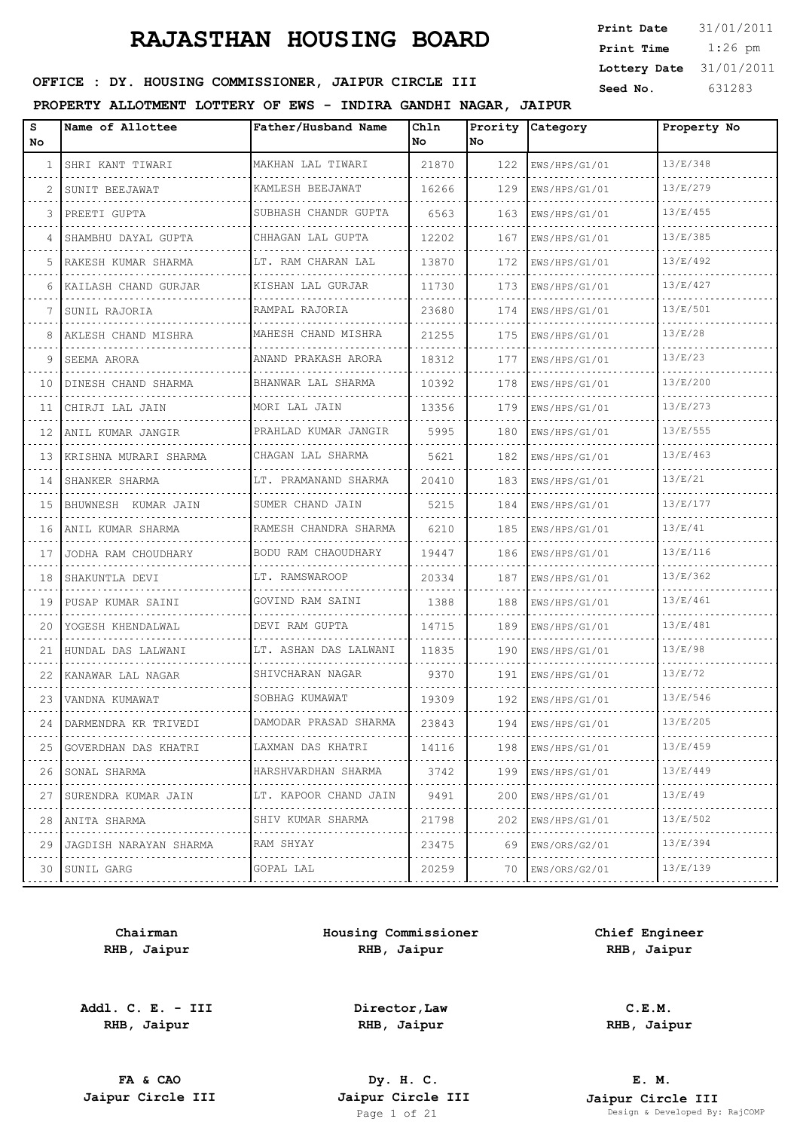| <b>Print Date</b> | 31/01/2011 |
|-------------------|------------|
| Print Time        | $1:26$ pm  |
| Lottery Date      | 31/01/2011 |
| Seed No.          | 631283     |

### OFFICE : DY. HOUSING COMMISSIONER, JAIPUR CIRCLE III

#### **PROPERTY ALLOTMENT LOTTERY OF EWS - INDIRA GANDHI NAGAR, JAIPUR**

| s<br>No      | Name of Allottee         | Father/Husband Name    | Chln<br>No | Prority<br>No. | Category           | Property No |
|--------------|--------------------------|------------------------|------------|----------------|--------------------|-------------|
| $\mathbf{1}$ | SHRI KANT TIWARI         | MAKHAN LAL TIWARI<br>. | 21870      | 122            | EWS/HPS/G1/01      | 13/E/348    |
| 2            | SUNIT BEEJAWAT           | KAMLESH BEEJAWAT       | 16266      | 129            | EWS/HPS/G1/01      | 13/E/279    |
| 3            | PREETI GUPTA             | SUBHASH CHANDR GUPTA   | 6563       | 163            | EWS/HPS/G1/01      | 13/E/455    |
| 4            | SHAMBHU DAYAL GUPTA      | CHHAGAN LAL GUPTA      | 12202      | 167            | EWS/HPS/G1/01      | 13/E/385    |
| 5            | RAKESH KUMAR SHARMA<br>. | LT. RAM CHARAN LAL     | 13870      | 172            | EWS/HPS/G1/01      | 13/E/492    |
| 6            | KAILASH CHAND GURJAR     | KISHAN LAL GURJAR      | 11730      | 173            | EWS/HPS/G1/01      | 13/E/427    |
| 7            | SUNIL RAJORIA            | RAMPAL RAJORIA         | 23680      | 174            | EWS/HPS/G1/01      | 13/E/501    |
| 8            | AKLESH CHAND MISHRA      | MAHESH CHAND MISHRA    | 21255      | 175            | EWS/HPS/G1/01      | 13/E/28     |
| 9            | SEEMA ARORA              | ANAND PRAKASH ARORA    | 18312      | 177            | EWS/HPS/G1/01      | 13/E/23     |
| 10           | DINESH CHAND SHARMA      | BHANWAR LAL SHARMA     | 10392      | 178            | EWS/HPS/G1/01      | 13/E/200    |
| 11           | CHIRJI LAL JAIN          | MORI LAL JAIN          | 13356      | 179            | EWS/HPS/G1/01      | 13/E/273    |
| 12           | ANIL KUMAR JANGIR        | PRAHLAD KUMAR JANGIR   | 5995       | 180            | EWS/HPS/G1/01      | 13/E/555    |
| 13           | KRISHNA MURARI SHARMA    | CHAGAN LAL SHARMA      | 5621       | 182            | EWS/HPS/G1/01      | 13/E/463    |
| 14           | SHANKER SHARMA<br>.      | LT. PRAMANAND SHARMA   | 20410      | 183            | EWS/HPS/G1/01      | 13/E/21     |
| 15           | BHUWNESH KUMAR JAIN      | SUMER CHAND JAIN       | 5215       | 184            | EWS/HPS/G1/01      | 13/E/177    |
| 16           | ANIL KUMAR SHARMA        | RAMESH CHANDRA SHARMA  | 6210       | 185            | EWS/HPS/G1/01      | 13/E/41     |
| 17           | JODHA RAM CHOUDHARY      | BODU RAM CHAOUDHARY    | 19447      | 186            | EWS/HPS/G1/01      | 13/E/116    |
| 18           | SHAKUNTLA DEVI           | LT. RAMSWAROOP         | 20334      | 187            | EWS/HPS/G1/01      | 13/E/362    |
| 19           | PUSAP KUMAR SAINI        | GOVIND RAM SAINI       | 1388       | 188            | EWS/HPS/G1/01      | 13/E/461    |
| 20           | YOGESH KHENDALWAL        | DEVI RAM GUPTA         | 14715      | 189            | EWS/HPS/G1/01      | 13/E/481    |
| 21           | HUNDAL DAS LALWANI       | LT. ASHAN DAS LALWANI  | 11835      | 190            | EWS/HPS/G1/01      | 13/E/98     |
| 22           | KANAWAR LAL NAGAR        | SHIVCHARAN NAGAR       | 9370       | 191            | EWS/HPS/G1/01      | 13/E/72     |
| 23           | VANDNA KUMAWAT           | SOBHAG KUMAWAT         | 19309      | 192            | EWS/HPS/G1/01      | 13/E/546    |
| 24           | DARMENDRA KR TRIVEDI     | DAMODAR PRASAD SHARMA  | 23843      | 194            | EWS/HPS/G1/01      | 13/E/205    |
| 25           | GOVERDHAN DAS KHATRI     | LAXMAN DAS KHATRI      | 14116      | 198            | EWS/HPS/G1/01      | 13/E/459    |
| 26           | SONAL SHARMA             | HARSHVARDHAN SHARMA    | 3742       | 199            | EWS/HPS/G1/01      | 13/E/449    |
| 27           | SURENDRA KUMAR JAIN      | LT. KAPOOR CHAND JAIN  | 9491       | 200            | EWS/HPS/G1/01<br>. | 13/E/49     |
| 28           | ANITA SHARMA             | SHIV KUMAR SHARMA      | 21798      | 202            | EWS/HPS/G1/01      | 13/E/502    |
| 29           | JAGDISH NARAYAN SHARMA   | RAM SHYAY<br>.         | 23475      | 69             | EWS/ORS/G2/01<br>. | 13/E/394    |
| 30           | SUNIL GARG               | GOPAL LAL<br>.         | 20259      | 70             | EWS/ORS/G2/01      | 13/E/139    |
|              |                          |                        |            |                |                    |             |

**Chairman RHB, Jaipur**

**Addl. C. E. - III RHB, Jaipur**

**Housing Commissioner RHB, Jaipur**

**Chief Engineer RHB, Jaipur**

**Director,Law RHB, Jaipur**

**C.E.M. RHB, Jaipur**

**FA & CAO Dy. H. C.**

**E. M. Jaipur Circle III Jaipur Circle III Jaipur Circle III Jaipur Circle III Jaipur Circle III Page 1 of 21 Design & Developed By:** Pesign & Developed By: RajCOMP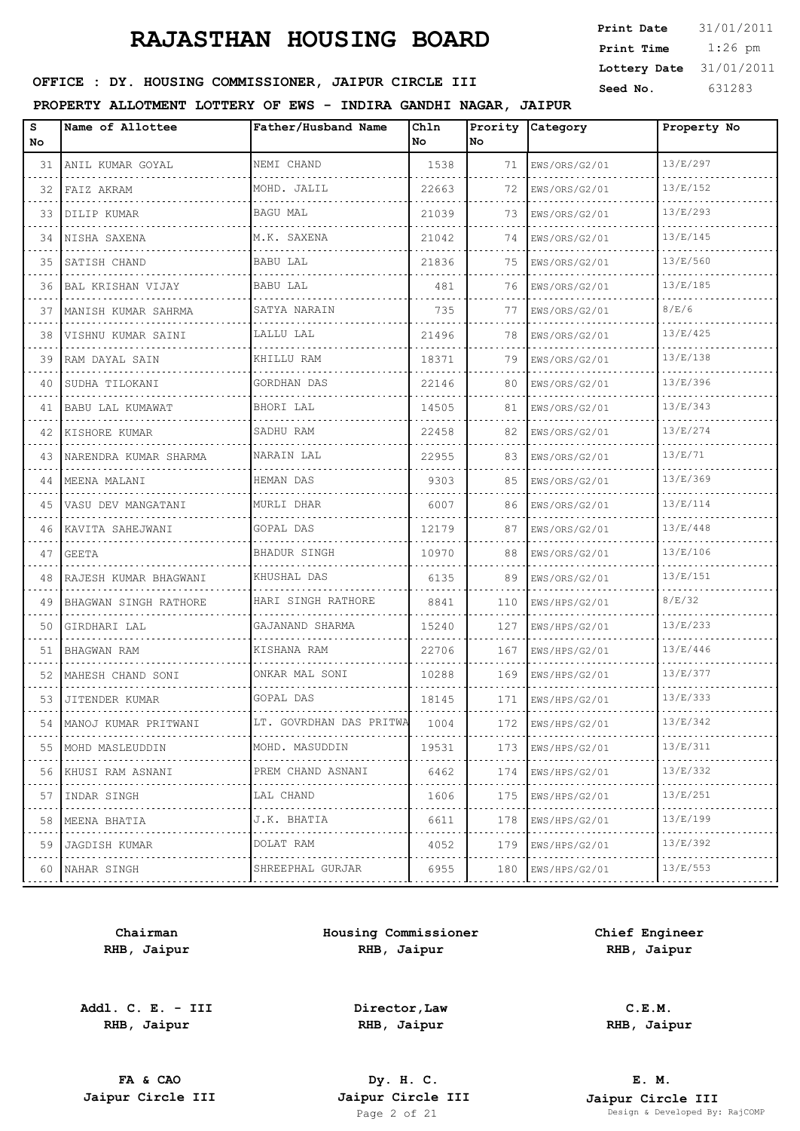| <b>Print Date</b> | 31/01/2011 |
|-------------------|------------|
| Print Time        | $1:26$ pm  |
| Lottery Date      | 31/01/2011 |
| Seed No.          | 631283     |

## OFFICE : DY. HOUSING COMMISSIONER, JAIPUR CIRCLE III

#### **PROPERTY ALLOTMENT LOTTERY OF EWS - INDIRA GANDHI NAGAR, JAIPUR**

| s<br>No. | Name of Allottee      | Father/Husband Name     | Chln<br>No | Prority<br>No | Category      | Property No |
|----------|-----------------------|-------------------------|------------|---------------|---------------|-------------|
| 31       | ANIL KUMAR GOYAL      | NEMI CHAND              | 1538       | 71            | EWS/ORS/G2/01 | 13/E/297    |
| 32       | FAIZ AKRAM            | MOHD. JALIL             | 22663      | 72            | EWS/ORS/G2/01 | 13/E/152    |
| 33       | DILIP KUMAR           | <b>BAGU MAL</b>         | 21039      | 73            | EWS/ORS/G2/01 | 13/E/293    |
| 34       | NISHA SAXENA          | M.K. SAXENA             | 21042      | 74            | EWS/ORS/G2/01 | 13/E/145    |
| 35       | SATISH CHAND          | BABU LAL                | 21836      | 75            | EWS/ORS/G2/01 | 13/E/560    |
| 36       | BAL KRISHAN VIJAY     | BABU LAL                | 481        | 76            | EWS/ORS/G2/01 | 13/E/185    |
| 37       | MANISH KUMAR SAHRMA   | SATYA NARAIN            | 735        | 77            | EWS/ORS/G2/01 | 8/E/6       |
| 38       | VISHNU KUMAR SAINI    | LALLU LAL<br>.          | 21496      | 78            | EWS/ORS/G2/01 | 13/E/425    |
| 39       | RAM DAYAL SAIN        | KHILLU RAM              | 18371      | 79            | EWS/ORS/G2/01 | 13/E/138    |
| 40       | SUDHA TILOKANI<br>.   | GORDHAN DAS<br>.        | 22146      | 80            | EWS/ORS/G2/01 | 13/E/396    |
| 41       | BABU LAL KUMAWAT      | BHORI LAL               | 14505      | 81            | EWS/ORS/G2/01 | 13/E/343    |
| 42       | KISHORE KUMAR         | SADHU RAM<br>.          | 22458      | 82            | EWS/ORS/G2/01 | 13/E/274    |
| 43       | NARENDRA KUMAR SHARMA | NARAIN LAL              | 22955      | 83            | EWS/ORS/G2/01 | 13/E/71     |
| 44       | MEENA MALANI<br>.     | HEMAN DAS<br>.          | 9303       | 85            | EWS/ORS/G2/01 | 13/E/369    |
| 45       | VASU DEV MANGATANI    | MURLI DHAR              | 6007       | 86            | EWS/ORS/G2/01 | 13/E/114    |
| 46       | KAVITA SAHEJWANI      | GOPAL DAS               | 12179      | 87            | EWS/ORS/G2/01 | 13/E/448    |
| 47       | GEETA                 | <b>BHADUR SINGH</b>     | 10970      | 88            | EWS/ORS/G2/01 | 13/E/106    |
| 48       | RAJESH KUMAR BHAGWANI | KHUSHAL DAS             | 6135       | 89            | EWS/ORS/G2/01 | 13/E/151    |
| 49       | BHAGWAN SINGH RATHORE | HARI SINGH RATHORE      | 8841       | 110           | EWS/HPS/G2/01 | 8/E/32      |
| 50       | GIRDHARI LAL          | GAJANAND SHARMA         | 15240      | 127           | EWS/HPS/G2/01 | 13/E/233    |
| 51       | BHAGWAN RAM           | KISHANA RAM             | 22706      | 167           | EWS/HPS/G2/01 | 13/E/446    |
| 52       | MAHESH CHAND SONI     | ONKAR MAL SONI<br>.     | 10288      | 169           | EWS/HPS/G2/01 | 13/E/377    |
| 53       | JITENDER KUMAR        | GOPAL DAS               | 18145      | 171           | EWS/HPS/G2/01 | 13/E/333    |
| 54       | MANOJ KUMAR PRITWANI  | LT. GOVRDHAN DAS PRITWA | 1004       | 172           | EWS/HPS/G2/01 | 13/E/342    |
| 55       | MOHD MASLEUDDIN       | MOHD. MASUDDIN          | 19531      | 173           | EWS/HPS/G2/01 | 13/E/311    |
| 56       | KHUSI RAM ASNANI      | PREM CHAND ASNANI       | 6462       | 174           | EWS/HPS/G2/01 | 13/E/332    |
| 57       | INDAR SINGH           | LAL CHAND<br>.          | 1606       | 175           | EWS/HPS/G2/01 | 13/E/251    |
| 58       | MEENA BHATIA          | J.K. BHATIA             | 6611       | 178           | EWS/HPS/G2/01 | 13/E/199    |
| 59       | <b>JAGDISH KUMAR</b>  | DOLAT RAM<br>.          | 4052       | 179           | EWS/HPS/G2/01 | 13/E/392    |
| 60       | NAHAR SINGH           | SHREEPHAL GURJAR        | 6955       | 180           | EWS/HPS/G2/01 | 13/E/553    |
|          |                       |                         |            |               |               |             |

**Chairman RHB, Jaipur**

**Addl. C. E. - III RHB, Jaipur**

**Housing Commissioner RHB, Jaipur**

**Chief Engineer RHB, Jaipur**

**Director,Law RHB, Jaipur**

**FA & CAO Dy. H. C.**

**C.E.M. RHB, Jaipur**

**E. M. Jaipur Circle III Jaipur Circle III Jaipur Circle III Jaipur Circle III Jaipur Circle III Page 2** of 21 **Design & Developed By:** Pesign & Developed By: RajCOMP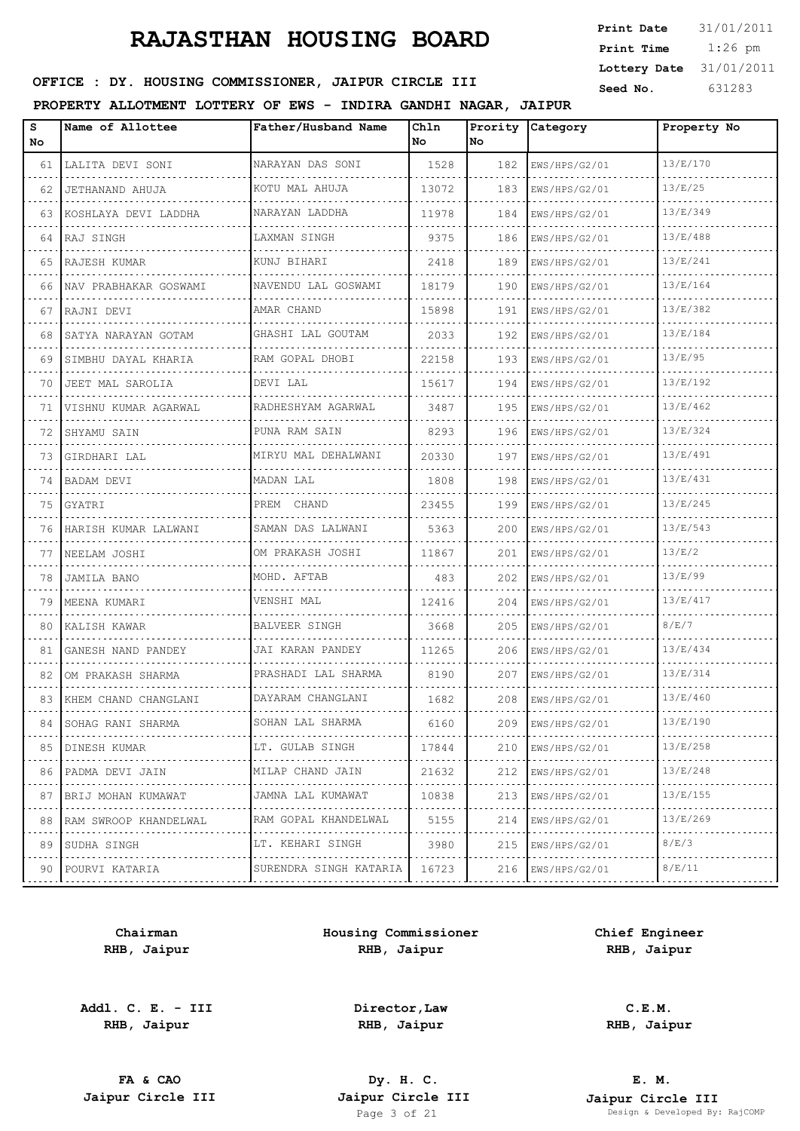| <b>Print Date</b> | 31/01/2011 |
|-------------------|------------|
| Print Time        | $1:26$ pm  |
| Lottery Date      | 31/01/2011 |
| Seed No.          | 631283     |

### OFFICE : DY. HOUSING COMMISSIONER, JAIPUR CIRCLE III

### **PROPERTY ALLOTMENT LOTTERY OF EWS - INDIRA GANDHI NAGAR, JAIPUR**

| s<br>No. | Name of Allottee        | Father/Husband Name    | Chln<br>No | No  | Prority Category | Property No |
|----------|-------------------------|------------------------|------------|-----|------------------|-------------|
| 61       | LALITA DEVI SONI        | NARAYAN DAS SONI       | 1528       | 182 | EWS/HPS/G2/01    | 13/E/170    |
| 62       | JETHANAND AHUJA         | KOTU MAL AHUJA         | 13072      | 183 | EWS/HPS/G2/01    | 13/E/25     |
| 63       | KOSHLAYA DEVI LADDHA    | NARAYAN LADDHA         | 11978      | 184 | EWS/HPS/G2/01    | 13/E/349    |
| 64       | RAJ SINGH               | LAXMAN SINGH           | 9375       | 186 | EWS/HPS/G2/01    | 13/E/488    |
| 65       | RAJESH KUMAR            | KUNJ BIHARI            | 2418       | 189 | EWS/HPS/G2/01    | 13/E/241    |
| 66       | NAV PRABHAKAR GOSWAMI   | NAVENDU LAL GOSWAMI    | 18179      | 190 | EWS/HPS/G2/01    | 13/E/164    |
| 67       | RAJNI DEVI              | AMAR CHAND             | 15898      | 191 | EWS/HPS/G2/01    | 13/E/382    |
| 68       | SATYA NARAYAN GOTAM     | GHASHI LAL GOUTAM      | 2033       | 192 | EWS/HPS/G2/01    | 13/E/184    |
| 69       | SIMBHU DAYAL KHARIA     | RAM GOPAL DHOBI        | 22158      | 193 | EWS/HPS/G2/01    | 13/E/95     |
| 70       | JEET MAL SAROLIA        | DEVI LAL               | 15617      | 194 | EWS/HPS/G2/01    | 13/E/192    |
| 71       | VISHNU KUMAR AGARWAL    | RADHESHYAM AGARWAL     | 3487       | 195 | EWS/HPS/G2/01    | 13/E/462    |
| 72       | SHYAMU SAIN             | PUNA RAM SAIN          | 8293       | 196 | EWS/HPS/G2/01    | 13/E/324    |
| 73       | GIRDHARI LAL            | MIRYU MAL DEHALWANI    | 20330      | 197 | EWS/HPS/G2/01    | 13/E/491    |
| 74       | BADAM DEVI              | MADAN LAL              | 1808       | 198 | EWS/HPS/G2/01    | 13/E/431    |
| 75       | GYATRI                  | PREM CHAND             | 23455      | 199 | EWS/HPS/G2/01    | 13/E/245    |
| 76       | HARISH KUMAR LALWANI    | SAMAN DAS LALWANI      | 5363       | 200 | EWS/HPS/G2/01    | 13/E/543    |
| 77       | NEELAM JOSHI            | OM PRAKASH JOSHI       | 11867      | 201 | EWS/HPS/G2/01    | 13/E/2      |
| 78       | <b>JAMILA BANO</b>      | MOHD. AFTAB            | 483        | 202 | EWS/HPS/G2/01    | 13/E/99     |
| 79       | MEENA KUMARI            | VENSHI MAL             | 12416      | 204 | EWS/HPS/G2/01    | 13/E/417    |
| 80       | KALISH KAWAR            | <b>BALVEER SINGH</b>   | 3668       | 205 | EWS/HPS/G2/01    | 8/E/7       |
| 81       | GANESH NAND PANDEY      | JAI KARAN PANDEY       | 11265      | 206 | EWS/HPS/G2/01    | 13/E/434    |
| 82       | OM PRAKASH SHARMA       | PRASHADI LAL SHARMA    | 8190       | 207 | EWS/HPS/G2/01    | 13/E/314    |
|          | 83 KHEM CHAND CHANGLANI | DAYARAM CHANGLANI      | 1682       | 208 | EWS/HPS/G2/01    | 13/E/460    |
| 84       | SOHAG RANI SHARMA       | SOHAN LAL SHARMA       | 6160       | 209 | EWS/HPS/G2/01    | 13/E/190    |
| 85       | DINESH KUMAR            | LT. GULAB SINGH        | 17844      | 210 | EWS/HPS/G2/01    | 13/E/258    |
| 86       | PADMA DEVI JAIN         | MILAP CHAND JAIN       | 21632      | 212 | EWS/HPS/G2/01    | 13/E/248    |
| 87       | BRIJ MOHAN KUMAWAT      | JAMNA LAL KUMAWAT      | 10838      | 213 | EWS/HPS/G2/01    | 13/E/155    |
| 88       | RAM SWROOP KHANDELWAL   | RAM GOPAL KHANDELWAL   | 5155       | 214 | EWS/HPS/G2/01    | 13/E/269    |
| 89       | SUDHA SINGH             | LT. KEHARI SINGH       | 3980       | 215 | EWS/HPS/G2/01    | 8/E/3       |
| 90       | POURVI KATARIA          | SURENDRA SINGH KATARIA | 16723      | 216 | EWS/HPS/G2/01    | 8/E/11      |
|          |                         |                        |            |     |                  |             |

**Chairman RHB, Jaipur**

**Addl. C. E. - III RHB, Jaipur**

**Housing Commissioner RHB, Jaipur**

**Chief Engineer RHB, Jaipur**

**Director,Law RHB, Jaipur**

**C.E.M. RHB, Jaipur**

**FA & CAO Dy. H. C.**

**E. M. Jaipur Circle III Jaipur Circle III Jaipur Circle III Jaipur Circle III Jaipur Circle III Page 3 of 21 Design & Developed By:** Pesign & Developed By: RajCOMP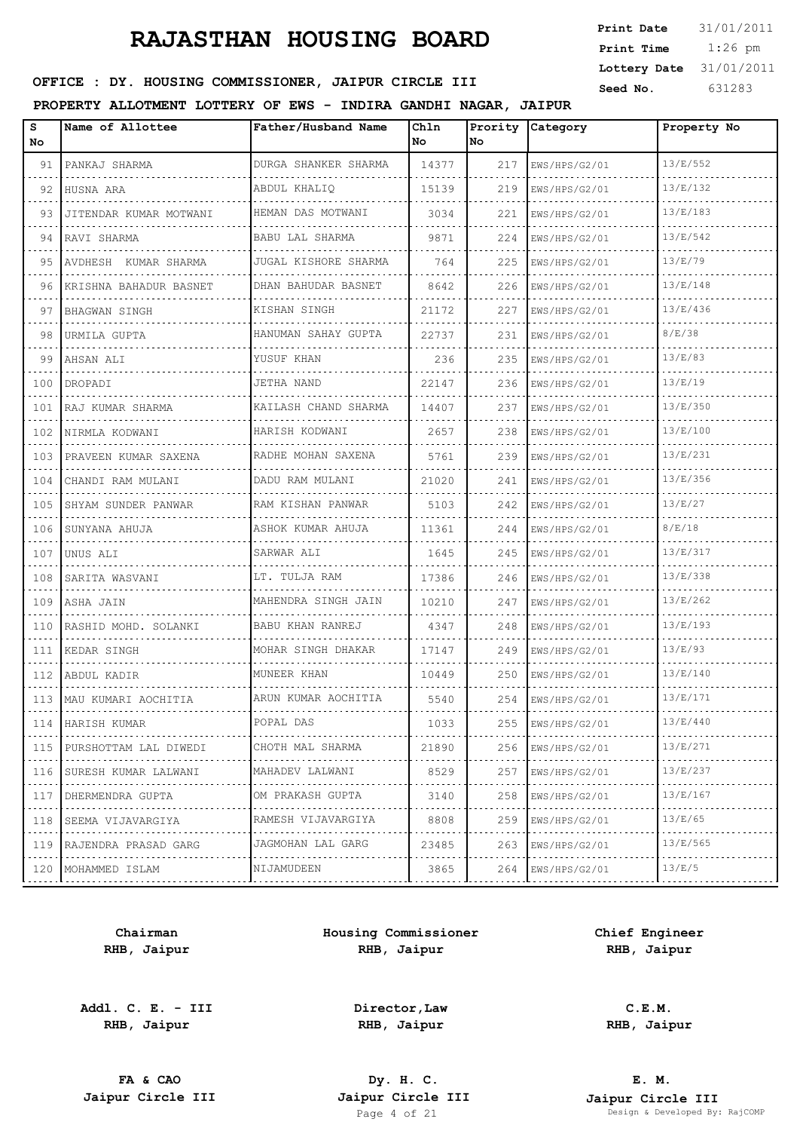| <b>Print Date</b> | 31/01/2011 |
|-------------------|------------|
| Print Time        | $1:26$ pm  |
| Lottery Date      | 31/01/2011 |
| Seed No.          | 631283     |

### OFFICE : DY. HOUSING COMMISSIONER, JAIPUR CIRCLE III

#### **PROPERTY ALLOTMENT LOTTERY OF EWS - INDIRA GANDHI NAGAR, JAIPUR**

| S<br>No | Name of Allottee                | Father/Husband Name              | Chln<br>No. | No. | Prority Category | Property No |
|---------|---------------------------------|----------------------------------|-------------|-----|------------------|-------------|
| 91      | PANKAJ SHARMA                   | DURGA SHANKER SHARMA             | 14377       | 217 | EWS/HPS/G2/01    | 13/E/552    |
| 92      | HUSNA ARA                       | ABDUL KHALIO                     | 15139       | 219 | EWS/HPS/G2/01    | 13/E/132    |
| 93      | JITENDAR KUMAR MOTWANI          | HEMAN DAS MOTWANI                | 3034        | 221 | EWS/HPS/G2/01    | 13/E/183    |
|         | 94 RAVI SHARMA                  | .<br>BABU LAL SHARMA             | 9871        | 224 | EWS/HPS/G2/01    | 13/E/542    |
| 95      | NUDHESH KUMAR SHARMA            | JUGAL KISHORE SHARMA             | 764         | 225 | EWS/HPS/G2/01    | 13/E/79     |
| 96      | .<br>KRISHNA BAHADUR BASNET     | .<br>DHAN BAHUDAR BASNET         | 8642        | 226 | EWS/HPS/G2/01    | 13/E/148    |
| 97      | BHAGWAN SINGH                   | KISHAN SINGH<br>.                | 21172       | 227 | EWS/HPS/G2/01    | 13/E/436    |
| 98      | URMILA GUPTA                    | HANUMAN SAHAY GUPTA              | 22737       | 231 | EWS/HPS/G2/01    | 8/E/38      |
| 99      | AHSAN ALI                       | YUSUF KHAN                       | 236         | 235 | EWS/HPS/G2/01    | 13/E/83     |
|         | 100   DROPADI                   | JETHA NAND                       | 22147       | 236 | EWS/HPS/G2/01    | 13/E/19     |
|         | 101 RAJ KUMAR SHARMA            | KAILASH CHAND SHARMA             | 14407       | 237 | EWS/HPS/G2/01    | 13/E/350    |
| 102     | NIRMLA KODWANI                  | HARISH KODWANI                   | 2657        | 238 | EWS/HPS/G2/01    | 13/E/100    |
|         | 103 PRAVEEN KUMAR SAXENA        | RADHE MOHAN SAXENA               | 5761        | 239 | EWS/HPS/G2/01    | 13/E/231    |
| 104     | CHANDI RAM MULANI               | DADU RAM MULANI                  | 21020       | 241 | EWS/HPS/G2/01    | 13/E/356    |
| 105     | SHYAM SUNDER PANWAR             | RAM KISHAN PANWAR                | 5103        | 242 | EWS/HPS/G2/01    | 13/E/27     |
| 106     | SUNYANA AHUJA                   | ASHOK KUMAR AHUJA                | 11361       | 244 | EWS/HPS/G2/01    | 8/E/18      |
| 107     | UNUS ALI                        | SARWAR ALI                       | 1645        | 245 | EWS/HPS/G2/01    | 13/E/317    |
| 108     | ISARITA WASVANI                 | LT. TULJA RAM                    | 17386       | 246 | EWS/HPS/G2/01    | 13/E/338    |
|         | 109   ASHA JAIN                 | MAHENDRA SINGH JAIN              | 10210       | 247 | EWS/HPS/G2/01    | 13/E/262    |
| 110     | RASHID MOHD. SOLANKI            | BABU KHAN RANREJ                 | 4347        | 248 | EWS/HPS/G2/01    | 13/E/193    |
|         | 111 KEDAR SINGH                 | MOHAR SINGH DHAKAR               | 17147       | 249 | EWS/HPS/G2/01    | 13/E/93     |
|         | 112 HABDUL KADIR                | MUNEER KHAN                      | 10449       | 250 | EWS/HPS/G2/01    | 13/E/140    |
|         | 113 MAU KUMARI AOCHITIA         | ARUN KUMAR AOCHITIA              | 5540        | 254 | EWS/HPS/G2/01    | 13/E/171    |
|         | 114 HARISH KUMAR                | POPAL DAS                        | 1033        | 255 | EWS/HPS/G2/01    | 13/E/440    |
|         | 115 PURSHOTTAM LAL DIWEDI       | CHOTH MAL SHARMA<br>. <b>.</b> . | 21890       | 256 | EWS/HPS/G2/01    | 13/E/271    |
|         | 116   SURESH KUMAR LALWANI<br>. | MAHADEV LALWANI<br>.             | 8529        | 257 | EWS/HPS/G2/01    | 13/E/237    |
|         | 117   DHERMENDRA GUPTA          | OM PRAKASH GUPTA<br>.            | 3140        | 258 | EWS/HPS/G2/01    | 13/E/167    |
| 118     | SEEMA VIJAVARGIYA               | RAMESH VIJAVARGIYA               | 8808        | 259 | EWS/HPS/G2/01    | 13/E/65     |
|         | 119 RAJENDRA PRASAD GARG        | JAGMOHAN LAL GARG                | 23485       | 263 | EWS/HPS/G2/01    | 13/E/565    |
|         | 120   MOHAMMED ISLAM            | NIJAMUDEEN<br>.                  | 3865        | 264 | EWS/HPS/G2/01    | 13/E/5      |

**Chairman RHB, Jaipur**

**Addl. C. E. - III RHB, Jaipur**

**Housing Commissioner RHB, Jaipur**

**Chief Engineer RHB, Jaipur**

**Director,Law RHB, Jaipur**

**C.E.M. RHB, Jaipur**

**FA & CAO Dy. H. C.**

**E. M. Jaipur Circle III Jaipur Circle III Jaipur Circle III Jaipur Circle III Jaipur Circle III Page 4 of 21 Design & Developed By:** Page 4 Developed By: RajCOMP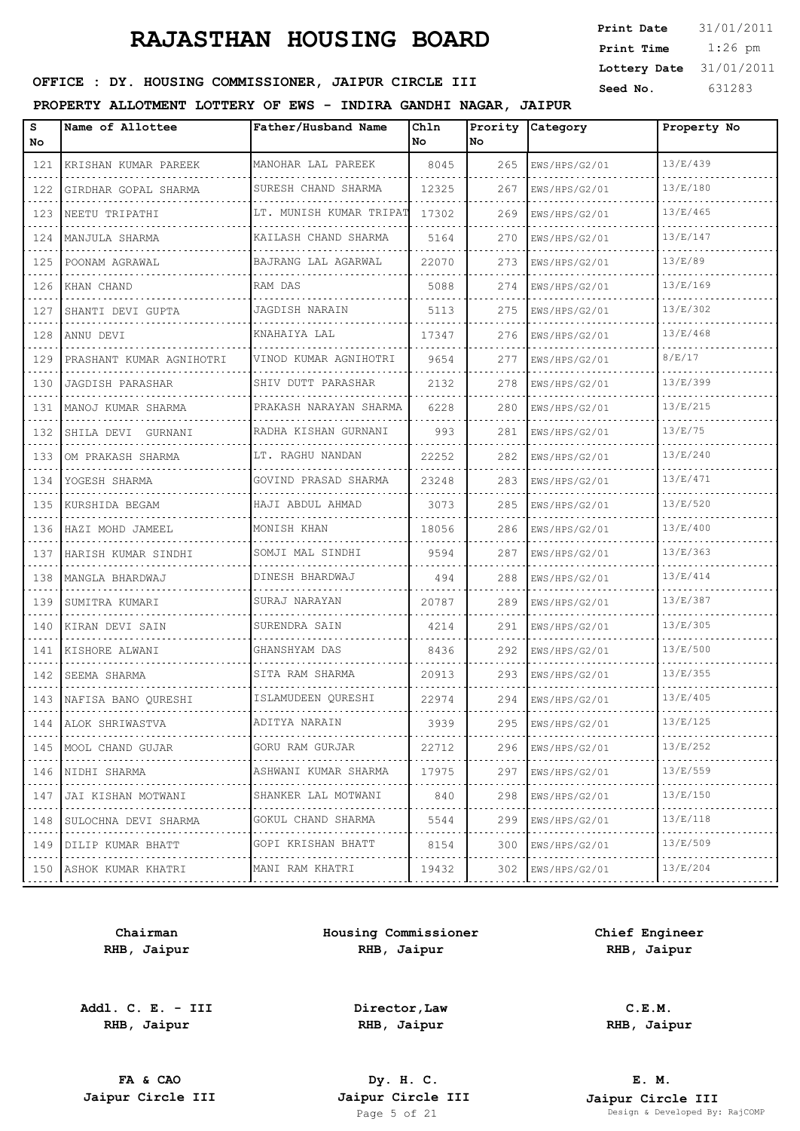| <b>Print Date</b> | 31/01/2011 |
|-------------------|------------|
| Print Time        | $1:26$ pm  |
| Lottery Date      | 31/01/2011 |
| Seed No.          | 631283     |

### OFFICE : DY. HOUSING COMMISSIONER, JAIPUR CIRCLE III

#### **PROPERTY ALLOTMENT LOTTERY OF EWS - INDIRA GANDHI NAGAR, JAIPUR**

| s<br>No | Name of Allottee              | Father/Husband Name     | Chln<br>No | Prority<br>No. | Category                            | Property No |
|---------|-------------------------------|-------------------------|------------|----------------|-------------------------------------|-------------|
| 121     | KRISHAN KUMAR PAREEK          | MANOHAR LAL PAREEK      | 8045       | 265            | EWS/HPS/G2/01                       | 13/E/439    |
| 122     | GIRDHAR GOPAL SHARMA          | SURESH CHAND SHARMA     | 12325      | 267            | EWS/HPS/G2/01                       | 13/E/180    |
| 123     | NEETU TRIPATHI                | LT. MUNISH KUMAR TRIPAT | 17302      | 269            | EWS/HPS/G2/01                       | 13/E/465    |
| 124     | MANJULA SHARMA                | KAILASH CHAND SHARMA    | 5164       | 270            | EWS/HPS/G2/01                       | 13/E/147    |
| 125     | POONAM AGRAWAL                | BAJRANG LAL AGARWAL     | 22070      | 273            | EWS/HPS/G2/01                       | 13/E/89     |
| 126     | KHAN CHAND                    | RAM DAS                 | 5088       | 274            | EWS/HPS/G2/01                       | 13/E/169    |
| 127     | SHANTI DEVI GUPTA             | JAGDISH NARAIN          | 5113       | 275            | EWS/HPS/G2/01                       | 13/E/302    |
| 128     | ANNU DEVI                     | KNAHAIYA LAL            | 17347      | 276            | EWS/HPS/G2/01                       | 13/E/468    |
| 129     | PRASHANT KUMAR AGNIHOTRI      | VINOD KUMAR AGNIHOTRI   | 9654       | 277            | EWS/HPS/G2/01                       | 8/E/17      |
| 130     | JAGDISH PARASHAR              | SHIV DUTT PARASHAR      | 2132       | 278            | EWS/HPS/G2/01                       | 13/E/399    |
| 131     | MANOJ KUMAR SHARMA            | PRAKASH NARAYAN SHARMA  | 6228       | 280            | EWS/HPS/G2/01                       | 13/E/215    |
| 132     | SHILA DEVI GURNANI            | RADHA KISHAN GURNANI    | 993        | 281            | EWS/HPS/G2/01                       | 13/E/75     |
| 133     | OM PRAKASH SHARMA             | LT. RAGHU NANDAN        | 22252      | 282            | EWS/HPS/G2/01                       | 13/E/240    |
| 134     | YOGESH SHARMA                 | GOVIND PRASAD SHARMA    | 23248      | 283            | EWS/HPS/G2/01                       | 13/E/471    |
| 135     | KURSHIDA BEGAM                | HAJI ABDUL AHMAD        | 3073       | 285            | EWS/HPS/G2/01                       | 13/E/520    |
| 136     | HAZI MOHD JAMEEL              | MONISH KHAN             | 18056      | 286            | EWS/HPS/G2/01                       | 13/E/400    |
| 137     | HARISH KUMAR SINDHI           | SOMJI MAL SINDHI        | 9594       | 287            | EWS/HPS/G2/01                       | 13/E/363    |
| 138     | MANGLA BHARDWAJ               | DINESH BHARDWAJ         | 494        | 288            | EWS/HPS/G2/01                       | 13/E/414    |
| 139     | SUMITRA KUMARI                | SURAJ NARAYAN           | 20787      | 289            | EWS/HPS/G2/01                       | 13/E/387    |
| 140     | KIRAN DEVI SAIN               | SURENDRA SAIN           | 4214       | 291            | EWS/HPS/G2/01                       | 13/E/305    |
| 141     | KISHORE ALWANI                | GHANSHYAM DAS           | 8436       | 292            | EWS/HPS/G2/01                       | 13/E/500    |
| 142     | SEEMA SHARMA                  | SITA RAM SHARMA         | 20913      | 293            | EWS/HPS/G2/01                       | 13/E/355    |
|         | 143   NAFISA BANO QURESHI     | ISLAMUDEEN QURESHI      | 22974      | 294            | EWS/HPS/G2/01                       | 13/E/405    |
|         | 144   ALOK SHRIWASTVA         | ADITYA NARAIN           | 3939       | 295            | EWS/HPS/G2/01                       | 13/E/125    |
|         | 145   MOOL CHAND GUJAR<br>.   | GORU RAM GURJAR<br>.    | 22712      | 296            | EWS/HPS/G2/01<br>did did did did di | 13/E/252    |
| 146     | NIDHI SHARMA                  | ASHWANI KUMAR SHARMA    | 17975      | 297            | EWS/HPS/G2/01                       | 13/E/559    |
| 147     | JAI KISHAN MOTWANI            | SHANKER LAL MOTWANI     | 840        | 298            | EWS/HPS/G2/01<br>.                  | 13/E/150    |
| 148     | SULOCHNA DEVI SHARMA          | GOKUL CHAND SHARMA      | 5544       | 299            | EWS/HPS/G2/01                       | 13/E/118    |
| 149     | DILIP KUMAR BHATT<br><u>.</u> | GOPI KRISHAN BHATT<br>. | 8154       | 300            | EWS/HPS/G2/01<br>.                  | 13/E/509    |
|         | 150   ASHOK KUMAR KHATRI      | MANI RAM KHATRI         | 19432      | 302            | EWS/HPS/G2/01                       | 13/E/204    |

**Chairman RHB, Jaipur**

**Addl. C. E. - III RHB, Jaipur**

**Housing Commissioner RHB, Jaipur**

**Chief Engineer RHB, Jaipur**

**Director,Law RHB, Jaipur**

**C.E.M. RHB, Jaipur**

**FA & CAO Dy. H. C.**

**E. M. Jaipur Circle III Jaipur Circle III Jaipur Circle III Jaipur Circle III Jaipur Circle III Page 5 of 21 Design & Developed By:** Page 5 of 21 Design & Developed By: RajCOMP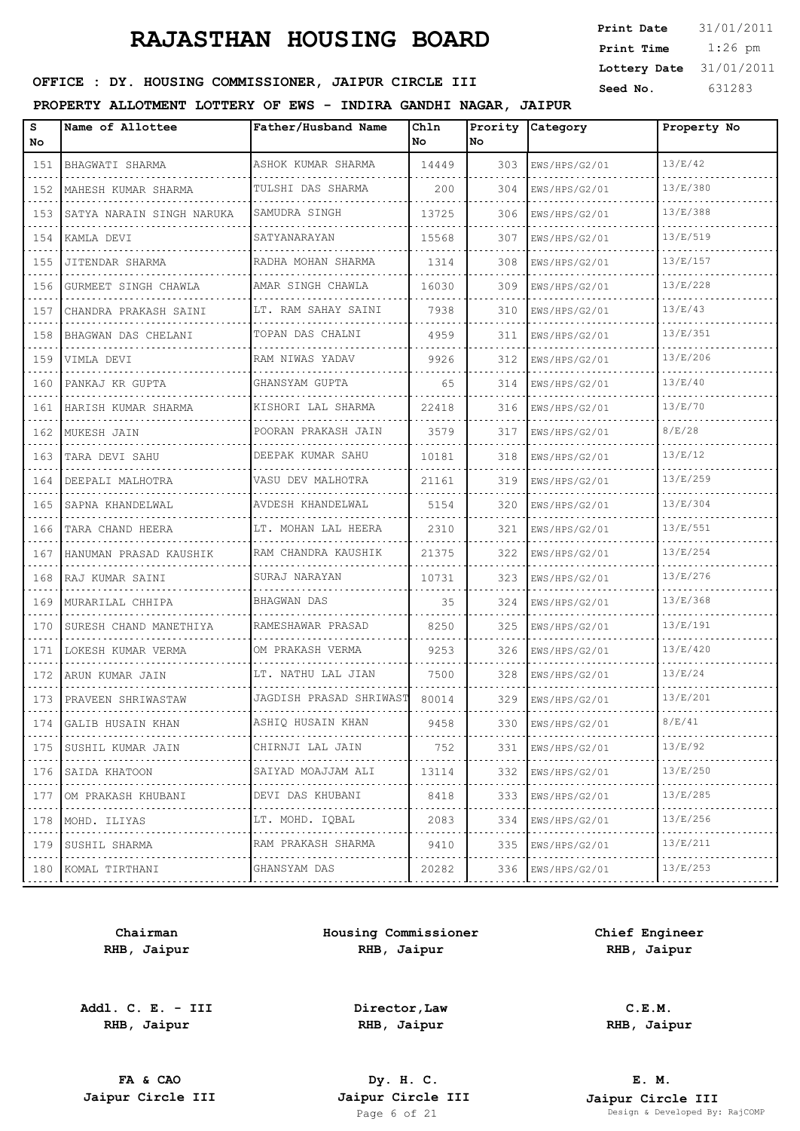| <b>Print Date</b> | 31/01/2011 |
|-------------------|------------|
| Print Time        | $1:26$ pm  |
| Lottery Date      | 31/01/2011 |
| Seed No.          | 631283     |

### OFFICE : DY. HOUSING COMMISSIONER, JAIPUR CIRCLE III

#### **PROPERTY ALLOTMENT LOTTERY OF EWS - INDIRA GANDHI NAGAR, JAIPUR**

| 13/E/42<br>ASHOK KUMAR SHARMA<br>14449<br>151<br>BHAGWATI SHARMA<br>303<br>EWS/HPS/G2/01<br>13/E/380<br>TULSHI DAS SHARMA<br>MAHESH KUMAR SHARMA<br>200<br>304<br>EWS/HPS/G2/01<br>152<br>13/E/388<br>SAMUDRA SINGH<br>13725<br>153<br>SATYA NARAIN SINGH NARUKA<br>306<br>EWS/HPS/G2/01<br>13/E/519<br>SATYANARAYAN<br>15568<br>307<br>154<br> KAMLA DEVI<br>EWS/HPS/G2/01<br>13/E/157<br>RADHA MOHAN SHARMA<br>308<br>155<br>JITENDAR SHARMA<br>1314<br>EWS/HPS/G2/01<br>13/E/228<br>AMAR SINGH CHAWLA<br>16030<br>309<br>EWS/HPS/G2/01<br>156<br>GURMEET SINGH CHAWLA<br>.<br>13/E/43<br>LT. RAM SAHAY SAINI<br>7938<br>310<br>EWS/HPS/G2/01<br>157<br>CHANDRA PRAKASH SAINI<br>13/E/351<br>TOPAN DAS CHALNI<br>4959<br>158<br>311<br> BHAGWAN DAS CHELANI<br>EWS/HPS/G2/01<br>13/E/206<br>RAM NIWAS YADAV<br>9926<br>312<br>159<br>VIMLA DEVI<br>EWS/HPS/G2/01<br>13/E/40<br>GHANSYAM GUPTA<br>65<br>160<br>314<br>PANKAJ KR GUPTA<br>EWS/HPS/G2/01<br>13/E/70<br>KISHORI LAL SHARMA<br>22418<br>316<br>161<br>HARISH KUMAR SHARMA<br>EWS/HPS/G2/01<br>8/E/28<br>POORAN PRAKASH JAIN<br>3579<br>162<br>317<br>MUKESH JAIN<br>EWS/HPS/G2/01<br>13/E/12<br>DEEPAK KUMAR SAHU<br>10181<br>318<br>163<br>EWS/HPS/G2/01<br>TARA DEVI SAHU<br>13/E/259<br>21161<br>VASU DEV MALHOTRA<br>319<br>164<br>EWS/HPS/G2/01<br>DEEPALI MALHOTRA<br>13/E/304<br>165<br>AVDESH KHANDELWAL<br>5154<br>320<br>SAPNA KHANDELWAL<br>EWS/HPS/G2/01<br>13/E/551<br>LT. MOHAN LAL HEERA<br>166<br>TARA CHAND HEERA<br>2310<br>321<br>EWS/HPS/G2/01<br>13/E/254<br>RAM CHANDRA KAUSHIK<br>21375<br>322<br>167<br>EWS/HPS/G2/01<br>HANUMAN PRASAD KAUSHIK<br>13/E/276<br>SURAJ NARAYAN<br>10731<br>323<br>168<br>RAJ KUMAR SAINI<br>EWS/HPS/G2/01<br>13/E/368<br>169<br>BHAGWAN DAS<br>35<br>324<br>EWS/HPS/G2/01<br>MURARILAL CHHIPA<br>13/E/191<br>RAMESHAWAR PRASAD<br>8250<br>325<br>170<br>SURESH CHAND MANETHIYA<br>EWS/HPS/G2/01<br>13/E/420<br>9253<br>OM PRAKASH VERMA<br>326<br>EWS/HPS/G2/01<br>171<br>LOKESH KUMAR VERMA<br>13/E/24<br>LT. NATHU LAL JIAN<br>7500<br>328<br>172<br>  ARUN KUMAR JAIN<br>EWS/HPS/G2/01<br>JAGDISH PRASAD SHRIWAST<br>13/E/201<br>173 PRAVEEN SHRIWASTAW<br>80014<br>329<br>EWS/HPS/G2/01<br>ASHIQ HUSAIN KHAN<br>8/E/41<br>174<br>9458<br>330<br> GALIB HUSAIN KHAN<br>EWS/HPS/G2/01<br>13/E/92<br>CHIRNJI LAL JAIN<br>175<br>752<br>331<br> SUSHIL KUMAR JAIN<br>EWS/HPS/G2/01<br>.<br>.<br>.<br>$\mathcal{L}_{\mathcal{A}}\left( \mathcal{L}_{\mathcal{A}}\right) =\mathcal{L}_{\mathcal{A}}\left( \mathcal{L}_{\mathcal{A}}\right)$<br>13/E/250<br>SAIYAD MOAJJAM ALI<br>332<br>176<br>SAIDA KHATOON<br>13114<br>EWS/HPS/G2/01<br>.<br>13/E/285<br>DEVI DAS KHUBANI<br>333<br>8418<br>EWS/HPS/G2/01<br>177<br>OM PRAKASH KHUBANI<br>. <b>.</b> .<br>.<br>.<br>13/E/256<br>LT. MOHD. IQBAL<br>334<br>178<br>2083<br>EWS/HPS/G2/01<br>MOHD. ILIYAS<br>13/E/211<br>179<br>RAM PRAKASH SHARMA<br>9410<br>335<br>SUSHIL SHARMA<br>EWS/HPS/G2/01<br>.<br>.<br>13/E/253<br>GHANSYAM DAS<br>180 KOMAL TIRTHANI<br>20282<br>336<br>EWS/HPS/G2/01<br>. | s<br>No | Name of Allottee | Father/Husband Name | Chln<br>No | Prority<br>No. | Category | Property No |
|-----------------------------------------------------------------------------------------------------------------------------------------------------------------------------------------------------------------------------------------------------------------------------------------------------------------------------------------------------------------------------------------------------------------------------------------------------------------------------------------------------------------------------------------------------------------------------------------------------------------------------------------------------------------------------------------------------------------------------------------------------------------------------------------------------------------------------------------------------------------------------------------------------------------------------------------------------------------------------------------------------------------------------------------------------------------------------------------------------------------------------------------------------------------------------------------------------------------------------------------------------------------------------------------------------------------------------------------------------------------------------------------------------------------------------------------------------------------------------------------------------------------------------------------------------------------------------------------------------------------------------------------------------------------------------------------------------------------------------------------------------------------------------------------------------------------------------------------------------------------------------------------------------------------------------------------------------------------------------------------------------------------------------------------------------------------------------------------------------------------------------------------------------------------------------------------------------------------------------------------------------------------------------------------------------------------------------------------------------------------------------------------------------------------------------------------------------------------------------------------------------------------------------------------------------------------------------------------------------------------------------------------------------------------------------------------------------------------------------------------------------------------------------------------------------------------------------------------------------------------------------------------------------------------------------------------------------------------------------------------------------------------------------------------------------------------------|---------|------------------|---------------------|------------|----------------|----------|-------------|
|                                                                                                                                                                                                                                                                                                                                                                                                                                                                                                                                                                                                                                                                                                                                                                                                                                                                                                                                                                                                                                                                                                                                                                                                                                                                                                                                                                                                                                                                                                                                                                                                                                                                                                                                                                                                                                                                                                                                                                                                                                                                                                                                                                                                                                                                                                                                                                                                                                                                                                                                                                                                                                                                                                                                                                                                                                                                                                                                                                                                                                                                       |         |                  |                     |            |                |          |             |
|                                                                                                                                                                                                                                                                                                                                                                                                                                                                                                                                                                                                                                                                                                                                                                                                                                                                                                                                                                                                                                                                                                                                                                                                                                                                                                                                                                                                                                                                                                                                                                                                                                                                                                                                                                                                                                                                                                                                                                                                                                                                                                                                                                                                                                                                                                                                                                                                                                                                                                                                                                                                                                                                                                                                                                                                                                                                                                                                                                                                                                                                       |         |                  |                     |            |                |          |             |
|                                                                                                                                                                                                                                                                                                                                                                                                                                                                                                                                                                                                                                                                                                                                                                                                                                                                                                                                                                                                                                                                                                                                                                                                                                                                                                                                                                                                                                                                                                                                                                                                                                                                                                                                                                                                                                                                                                                                                                                                                                                                                                                                                                                                                                                                                                                                                                                                                                                                                                                                                                                                                                                                                                                                                                                                                                                                                                                                                                                                                                                                       |         |                  |                     |            |                |          |             |
|                                                                                                                                                                                                                                                                                                                                                                                                                                                                                                                                                                                                                                                                                                                                                                                                                                                                                                                                                                                                                                                                                                                                                                                                                                                                                                                                                                                                                                                                                                                                                                                                                                                                                                                                                                                                                                                                                                                                                                                                                                                                                                                                                                                                                                                                                                                                                                                                                                                                                                                                                                                                                                                                                                                                                                                                                                                                                                                                                                                                                                                                       |         |                  |                     |            |                |          |             |
|                                                                                                                                                                                                                                                                                                                                                                                                                                                                                                                                                                                                                                                                                                                                                                                                                                                                                                                                                                                                                                                                                                                                                                                                                                                                                                                                                                                                                                                                                                                                                                                                                                                                                                                                                                                                                                                                                                                                                                                                                                                                                                                                                                                                                                                                                                                                                                                                                                                                                                                                                                                                                                                                                                                                                                                                                                                                                                                                                                                                                                                                       |         |                  |                     |            |                |          |             |
|                                                                                                                                                                                                                                                                                                                                                                                                                                                                                                                                                                                                                                                                                                                                                                                                                                                                                                                                                                                                                                                                                                                                                                                                                                                                                                                                                                                                                                                                                                                                                                                                                                                                                                                                                                                                                                                                                                                                                                                                                                                                                                                                                                                                                                                                                                                                                                                                                                                                                                                                                                                                                                                                                                                                                                                                                                                                                                                                                                                                                                                                       |         |                  |                     |            |                |          |             |
|                                                                                                                                                                                                                                                                                                                                                                                                                                                                                                                                                                                                                                                                                                                                                                                                                                                                                                                                                                                                                                                                                                                                                                                                                                                                                                                                                                                                                                                                                                                                                                                                                                                                                                                                                                                                                                                                                                                                                                                                                                                                                                                                                                                                                                                                                                                                                                                                                                                                                                                                                                                                                                                                                                                                                                                                                                                                                                                                                                                                                                                                       |         |                  |                     |            |                |          |             |
|                                                                                                                                                                                                                                                                                                                                                                                                                                                                                                                                                                                                                                                                                                                                                                                                                                                                                                                                                                                                                                                                                                                                                                                                                                                                                                                                                                                                                                                                                                                                                                                                                                                                                                                                                                                                                                                                                                                                                                                                                                                                                                                                                                                                                                                                                                                                                                                                                                                                                                                                                                                                                                                                                                                                                                                                                                                                                                                                                                                                                                                                       |         |                  |                     |            |                |          |             |
|                                                                                                                                                                                                                                                                                                                                                                                                                                                                                                                                                                                                                                                                                                                                                                                                                                                                                                                                                                                                                                                                                                                                                                                                                                                                                                                                                                                                                                                                                                                                                                                                                                                                                                                                                                                                                                                                                                                                                                                                                                                                                                                                                                                                                                                                                                                                                                                                                                                                                                                                                                                                                                                                                                                                                                                                                                                                                                                                                                                                                                                                       |         |                  |                     |            |                |          |             |
|                                                                                                                                                                                                                                                                                                                                                                                                                                                                                                                                                                                                                                                                                                                                                                                                                                                                                                                                                                                                                                                                                                                                                                                                                                                                                                                                                                                                                                                                                                                                                                                                                                                                                                                                                                                                                                                                                                                                                                                                                                                                                                                                                                                                                                                                                                                                                                                                                                                                                                                                                                                                                                                                                                                                                                                                                                                                                                                                                                                                                                                                       |         |                  |                     |            |                |          |             |
|                                                                                                                                                                                                                                                                                                                                                                                                                                                                                                                                                                                                                                                                                                                                                                                                                                                                                                                                                                                                                                                                                                                                                                                                                                                                                                                                                                                                                                                                                                                                                                                                                                                                                                                                                                                                                                                                                                                                                                                                                                                                                                                                                                                                                                                                                                                                                                                                                                                                                                                                                                                                                                                                                                                                                                                                                                                                                                                                                                                                                                                                       |         |                  |                     |            |                |          |             |
|                                                                                                                                                                                                                                                                                                                                                                                                                                                                                                                                                                                                                                                                                                                                                                                                                                                                                                                                                                                                                                                                                                                                                                                                                                                                                                                                                                                                                                                                                                                                                                                                                                                                                                                                                                                                                                                                                                                                                                                                                                                                                                                                                                                                                                                                                                                                                                                                                                                                                                                                                                                                                                                                                                                                                                                                                                                                                                                                                                                                                                                                       |         |                  |                     |            |                |          |             |
|                                                                                                                                                                                                                                                                                                                                                                                                                                                                                                                                                                                                                                                                                                                                                                                                                                                                                                                                                                                                                                                                                                                                                                                                                                                                                                                                                                                                                                                                                                                                                                                                                                                                                                                                                                                                                                                                                                                                                                                                                                                                                                                                                                                                                                                                                                                                                                                                                                                                                                                                                                                                                                                                                                                                                                                                                                                                                                                                                                                                                                                                       |         |                  |                     |            |                |          |             |
|                                                                                                                                                                                                                                                                                                                                                                                                                                                                                                                                                                                                                                                                                                                                                                                                                                                                                                                                                                                                                                                                                                                                                                                                                                                                                                                                                                                                                                                                                                                                                                                                                                                                                                                                                                                                                                                                                                                                                                                                                                                                                                                                                                                                                                                                                                                                                                                                                                                                                                                                                                                                                                                                                                                                                                                                                                                                                                                                                                                                                                                                       |         |                  |                     |            |                |          |             |
|                                                                                                                                                                                                                                                                                                                                                                                                                                                                                                                                                                                                                                                                                                                                                                                                                                                                                                                                                                                                                                                                                                                                                                                                                                                                                                                                                                                                                                                                                                                                                                                                                                                                                                                                                                                                                                                                                                                                                                                                                                                                                                                                                                                                                                                                                                                                                                                                                                                                                                                                                                                                                                                                                                                                                                                                                                                                                                                                                                                                                                                                       |         |                  |                     |            |                |          |             |
|                                                                                                                                                                                                                                                                                                                                                                                                                                                                                                                                                                                                                                                                                                                                                                                                                                                                                                                                                                                                                                                                                                                                                                                                                                                                                                                                                                                                                                                                                                                                                                                                                                                                                                                                                                                                                                                                                                                                                                                                                                                                                                                                                                                                                                                                                                                                                                                                                                                                                                                                                                                                                                                                                                                                                                                                                                                                                                                                                                                                                                                                       |         |                  |                     |            |                |          |             |
|                                                                                                                                                                                                                                                                                                                                                                                                                                                                                                                                                                                                                                                                                                                                                                                                                                                                                                                                                                                                                                                                                                                                                                                                                                                                                                                                                                                                                                                                                                                                                                                                                                                                                                                                                                                                                                                                                                                                                                                                                                                                                                                                                                                                                                                                                                                                                                                                                                                                                                                                                                                                                                                                                                                                                                                                                                                                                                                                                                                                                                                                       |         |                  |                     |            |                |          |             |
|                                                                                                                                                                                                                                                                                                                                                                                                                                                                                                                                                                                                                                                                                                                                                                                                                                                                                                                                                                                                                                                                                                                                                                                                                                                                                                                                                                                                                                                                                                                                                                                                                                                                                                                                                                                                                                                                                                                                                                                                                                                                                                                                                                                                                                                                                                                                                                                                                                                                                                                                                                                                                                                                                                                                                                                                                                                                                                                                                                                                                                                                       |         |                  |                     |            |                |          |             |
|                                                                                                                                                                                                                                                                                                                                                                                                                                                                                                                                                                                                                                                                                                                                                                                                                                                                                                                                                                                                                                                                                                                                                                                                                                                                                                                                                                                                                                                                                                                                                                                                                                                                                                                                                                                                                                                                                                                                                                                                                                                                                                                                                                                                                                                                                                                                                                                                                                                                                                                                                                                                                                                                                                                                                                                                                                                                                                                                                                                                                                                                       |         |                  |                     |            |                |          |             |
|                                                                                                                                                                                                                                                                                                                                                                                                                                                                                                                                                                                                                                                                                                                                                                                                                                                                                                                                                                                                                                                                                                                                                                                                                                                                                                                                                                                                                                                                                                                                                                                                                                                                                                                                                                                                                                                                                                                                                                                                                                                                                                                                                                                                                                                                                                                                                                                                                                                                                                                                                                                                                                                                                                                                                                                                                                                                                                                                                                                                                                                                       |         |                  |                     |            |                |          |             |
|                                                                                                                                                                                                                                                                                                                                                                                                                                                                                                                                                                                                                                                                                                                                                                                                                                                                                                                                                                                                                                                                                                                                                                                                                                                                                                                                                                                                                                                                                                                                                                                                                                                                                                                                                                                                                                                                                                                                                                                                                                                                                                                                                                                                                                                                                                                                                                                                                                                                                                                                                                                                                                                                                                                                                                                                                                                                                                                                                                                                                                                                       |         |                  |                     |            |                |          |             |
|                                                                                                                                                                                                                                                                                                                                                                                                                                                                                                                                                                                                                                                                                                                                                                                                                                                                                                                                                                                                                                                                                                                                                                                                                                                                                                                                                                                                                                                                                                                                                                                                                                                                                                                                                                                                                                                                                                                                                                                                                                                                                                                                                                                                                                                                                                                                                                                                                                                                                                                                                                                                                                                                                                                                                                                                                                                                                                                                                                                                                                                                       |         |                  |                     |            |                |          |             |
|                                                                                                                                                                                                                                                                                                                                                                                                                                                                                                                                                                                                                                                                                                                                                                                                                                                                                                                                                                                                                                                                                                                                                                                                                                                                                                                                                                                                                                                                                                                                                                                                                                                                                                                                                                                                                                                                                                                                                                                                                                                                                                                                                                                                                                                                                                                                                                                                                                                                                                                                                                                                                                                                                                                                                                                                                                                                                                                                                                                                                                                                       |         |                  |                     |            |                |          |             |
|                                                                                                                                                                                                                                                                                                                                                                                                                                                                                                                                                                                                                                                                                                                                                                                                                                                                                                                                                                                                                                                                                                                                                                                                                                                                                                                                                                                                                                                                                                                                                                                                                                                                                                                                                                                                                                                                                                                                                                                                                                                                                                                                                                                                                                                                                                                                                                                                                                                                                                                                                                                                                                                                                                                                                                                                                                                                                                                                                                                                                                                                       |         |                  |                     |            |                |          |             |
|                                                                                                                                                                                                                                                                                                                                                                                                                                                                                                                                                                                                                                                                                                                                                                                                                                                                                                                                                                                                                                                                                                                                                                                                                                                                                                                                                                                                                                                                                                                                                                                                                                                                                                                                                                                                                                                                                                                                                                                                                                                                                                                                                                                                                                                                                                                                                                                                                                                                                                                                                                                                                                                                                                                                                                                                                                                                                                                                                                                                                                                                       |         |                  |                     |            |                |          |             |
|                                                                                                                                                                                                                                                                                                                                                                                                                                                                                                                                                                                                                                                                                                                                                                                                                                                                                                                                                                                                                                                                                                                                                                                                                                                                                                                                                                                                                                                                                                                                                                                                                                                                                                                                                                                                                                                                                                                                                                                                                                                                                                                                                                                                                                                                                                                                                                                                                                                                                                                                                                                                                                                                                                                                                                                                                                                                                                                                                                                                                                                                       |         |                  |                     |            |                |          |             |
|                                                                                                                                                                                                                                                                                                                                                                                                                                                                                                                                                                                                                                                                                                                                                                                                                                                                                                                                                                                                                                                                                                                                                                                                                                                                                                                                                                                                                                                                                                                                                                                                                                                                                                                                                                                                                                                                                                                                                                                                                                                                                                                                                                                                                                                                                                                                                                                                                                                                                                                                                                                                                                                                                                                                                                                                                                                                                                                                                                                                                                                                       |         |                  |                     |            |                |          |             |
|                                                                                                                                                                                                                                                                                                                                                                                                                                                                                                                                                                                                                                                                                                                                                                                                                                                                                                                                                                                                                                                                                                                                                                                                                                                                                                                                                                                                                                                                                                                                                                                                                                                                                                                                                                                                                                                                                                                                                                                                                                                                                                                                                                                                                                                                                                                                                                                                                                                                                                                                                                                                                                                                                                                                                                                                                                                                                                                                                                                                                                                                       |         |                  |                     |            |                |          |             |
|                                                                                                                                                                                                                                                                                                                                                                                                                                                                                                                                                                                                                                                                                                                                                                                                                                                                                                                                                                                                                                                                                                                                                                                                                                                                                                                                                                                                                                                                                                                                                                                                                                                                                                                                                                                                                                                                                                                                                                                                                                                                                                                                                                                                                                                                                                                                                                                                                                                                                                                                                                                                                                                                                                                                                                                                                                                                                                                                                                                                                                                                       |         |                  |                     |            |                |          |             |
|                                                                                                                                                                                                                                                                                                                                                                                                                                                                                                                                                                                                                                                                                                                                                                                                                                                                                                                                                                                                                                                                                                                                                                                                                                                                                                                                                                                                                                                                                                                                                                                                                                                                                                                                                                                                                                                                                                                                                                                                                                                                                                                                                                                                                                                                                                                                                                                                                                                                                                                                                                                                                                                                                                                                                                                                                                                                                                                                                                                                                                                                       |         |                  |                     |            |                |          |             |

**Chairman RHB, Jaipur**

**Addl. C. E. - III RHB, Jaipur**

**Housing Commissioner RHB, Jaipur**

**Chief Engineer RHB, Jaipur**

**Director,Law RHB, Jaipur**

**C.E.M. RHB, Jaipur**

**FA & CAO Dy. H. C.**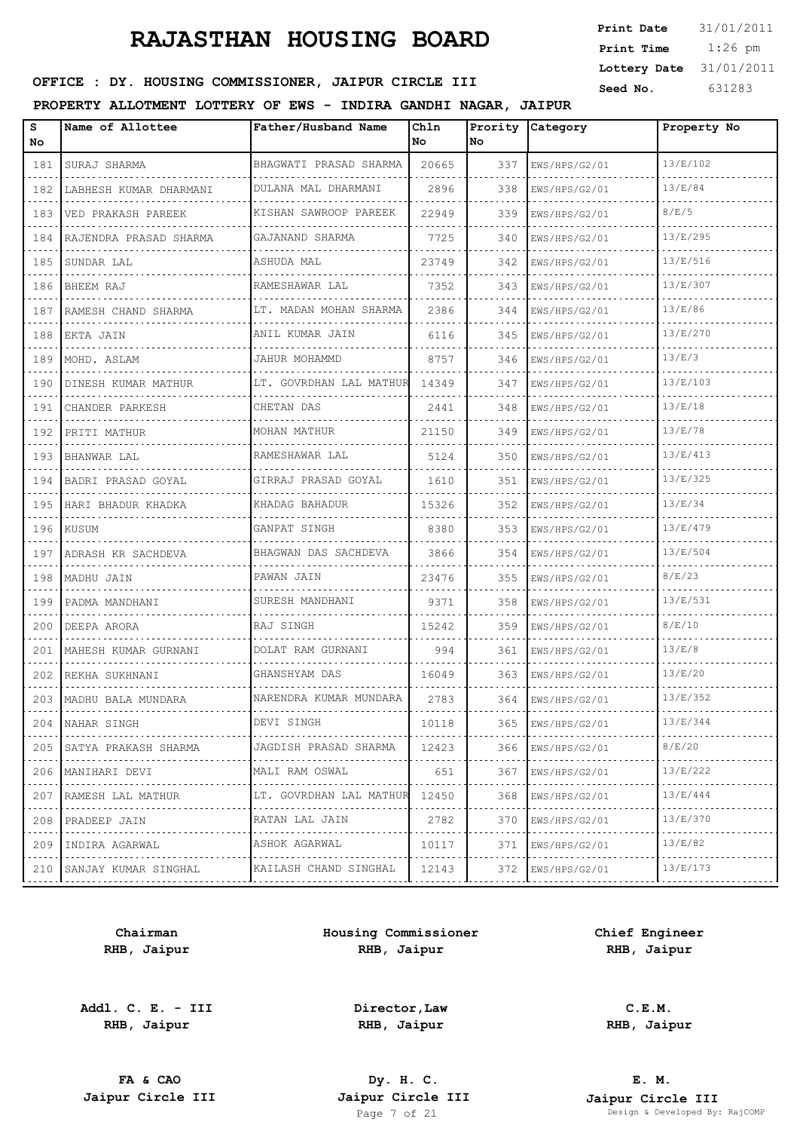| <b>Print Date</b> | 31/01/2011 |
|-------------------|------------|
| Print Time        | $1:26$ pm  |
| Lottery Date      | 31/01/2011 |
| Seed No.          | 631283     |

### OFFICE : DY. HOUSING COMMISSIONER, JAIPUR CIRCLE III

#### **PROPERTY ALLOTMENT LOTTERY OF EWS - INDIRA GANDHI NAGAR, JAIPUR**

| s<br>No | Name of Allottee            | Father/Husband Name         | Chln<br>No | Prority<br>No. | Category           | Property No |
|---------|-----------------------------|-----------------------------|------------|----------------|--------------------|-------------|
| 181     | SURAJ SHARMA                | BHAGWATI PRASAD SHARMA      | 20665      | 337            | EWS/HPS/G2/01      | 13/E/102    |
| 182     | LABHESH KUMAR DHARMANI      | DULANA MAL DHARMANI         | 2896       | 338            | EWS/HPS/G2/01      | 13/E/84     |
| 183     | VED PRAKASH PAREEK<br>.     | KISHAN SAWROOP PAREEK<br>.  | 22949      | 339            | EWS/HPS/G2/01      | 8/E/5       |
| 184     | RAJENDRA PRASAD SHARMA<br>. | GAJANAND SHARMA<br>.        | 7725       | 340            | EWS/HPS/G2/01      | 13/E/295    |
| 185     | SUNDAR LAL                  | ASHUDA MAL                  | 23749      | 342            | EWS/HPS/G2/01      | 13/E/516    |
| 186     | BHEEM RAJ                   | RAMESHAWAR LAL              | 7352       | 343            | EWS/HPS/G2/01      | 13/E/307    |
| 187     | RAMESH CHAND SHARMA         | LT. MADAN MOHAN SHARMA<br>. | 2386       | 344            | EWS/HPS/G2/01      | 13/E/86     |
| 188     | EKTA JAIN                   | ANIL KUMAR JAIN<br>.        | 6116       | 345            | EWS/HPS/G2/01      | 13/E/270    |
| 189     | MOHD. ASLAM                 | JAHUR MOHAMMD               | 8757       | 346            | EWS/HPS/G2/01      | 13/E/3      |
| 190     | DINESH KUMAR MATHUR         | LT. GOVRDHAN LAL MATHUR     | 14349      | 347            | EWS/HPS/G2/01      | 13/E/103    |
| 191     | CHANDER PARKESH             | CHETAN DAS                  | 2441       | 348            | EWS/HPS/G2/01      | 13/E/18     |
| 192     | PRITI MATHUR                | MOHAN MATHUR                | 21150      | 349            | EWS/HPS/G2/01      | 13/E/78     |
| 193     | BHANWAR LAL                 | RAMESHAWAR LAL              | 5124       | 350            | EWS/HPS/G2/01      | 13/E/413    |
| 194     | BADRI PRASAD GOYAL          | GIRRAJ PRASAD GOYAL         | 1610       | 351            | EWS/HPS/G2/01      | 13/E/325    |
| 195     | HARI BHADUR KHADKA          | KHADAG BAHADUR              | 15326      | 352            | EWS/HPS/G2/01      | 13/E/34     |
| 196     | KUSUM                       | GANPAT SINGH                | 8380       | 353            | EWS/HPS/G2/01      | 13/E/479    |
| 197     | ADRASH KR SACHDEVA          | BHAGWAN DAS SACHDEVA        | 3866       | 354            | EWS/HPS/G2/01      | 13/E/504    |
| 198     | MADHU JAIN                  | PAWAN JAIN                  | 23476      | 355            | EWS/HPS/G2/01      | 8/E/23      |
| 199     | PADMA MANDHANI              | SURESH MANDHANI             | 9371       | 358            | EWS/HPS/G2/01      | 13/E/531    |
| 200     | DEEPA ARORA                 | RAJ SINGH                   | 15242      | 359            | EWS/HPS/G2/01      | 8/E/10      |
| 201     | MAHESH KUMAR GURNANI        | DOLAT RAM GURNANI           | 994        | 361            | EWS/HPS/G2/01      | 13/E/8      |
| 202     | REKHA SUKHNANI              | GHANSHYAM DAS               | 16049      | 363            | EWS/HPS/G2/01      | 13/E/20     |
|         | 203   MADHU BALA MUNDARA    | NARENDRA KUMAR MUNDARA      | 2783       | 364            | EWS/HPS/G2/01      | 13/E/352    |
| 204     | NAHAR SINGH                 | DEVI SINGH                  | 10118      | 365            | EWS/HPS/G2/01      | 13/E/344    |
| 205     | SATYA PRAKASH SHARMA        | JAGDISH PRASAD SHARMA       | 12423      | 366            | EWS/HPS/G2/01      | 8/E/20      |
| 206     | MANIHARI DEVI               | MALI RAM OSWAL              | 651        | 367            | EWS/HPS/G2/01      | 13/E/222    |
| 207     | RAMESH LAL MATHUR<br>.      | LT. GOVRDHAN LAL MATHUR     | 12450      | 368            | EWS/HPS/G2/01<br>. | 13/E/444    |
| 208     | PRADEEP JAIN<br>.           | RATAN LAL JAIN<br>.         | 2782       | 370            | EWS/HPS/G2/01      | 13/E/370    |
| 209     | INDIRA AGARWAL<br>.         | ASHOK AGARWAL               | 10117      | 371            | EWS/HPS/G2/01<br>. | 13/E/82     |
|         | 210 SANJAY KUMAR SINGHAL    | KAILASH CHAND SINGHAL       | 12143      | 372            | EWS/HPS/G2/01<br>. | 13/E/173    |

**Chairman RHB, Jaipur**

**Addl. C. E. - III RHB, Jaipur**

**Housing Commissioner RHB, Jaipur**

**Chief Engineer RHB, Jaipur**

**Director,Law RHB, Jaipur**

**C.E.M. RHB, Jaipur**

**FA & CAO Dy. H. C.**

**E. M. Jaipur Circle III Jaipur Circle III Jaipur Circle III Jaipur Circle III Jaipur Circle III Page 7** of 21 Page 7 of 21 Developed By: RajCOMP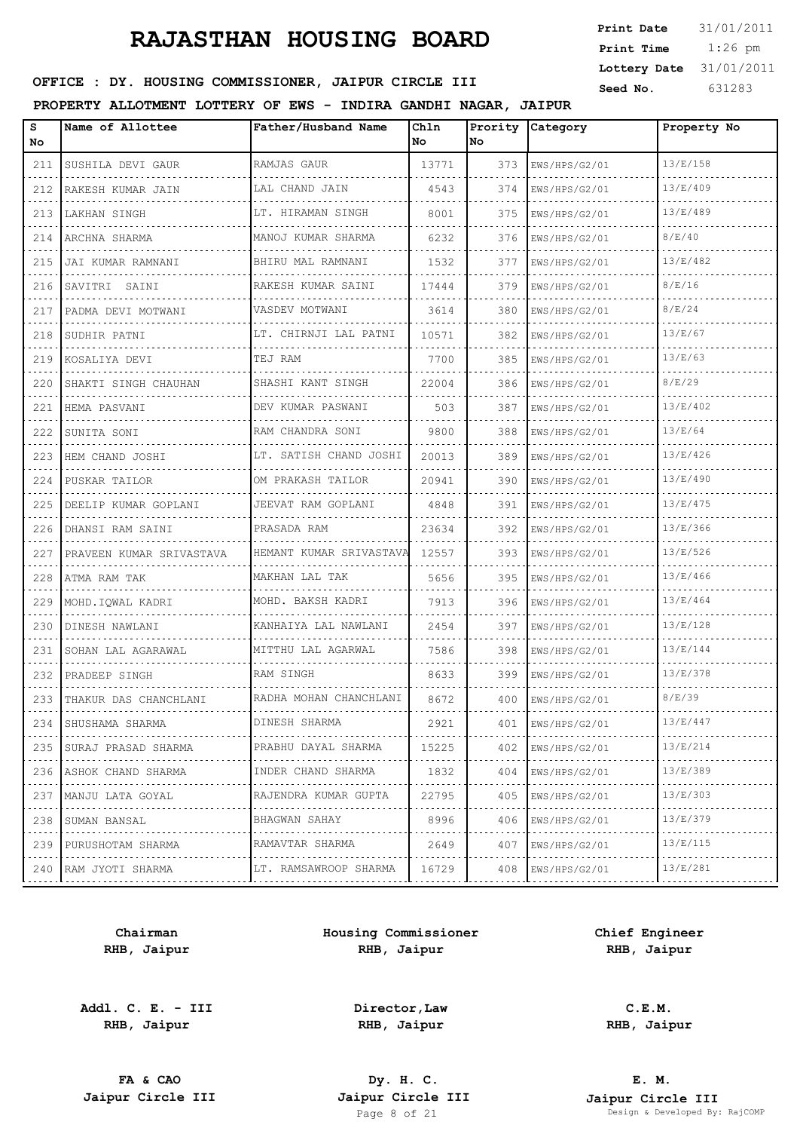| <b>Print Date</b> | 31/01/2011 |
|-------------------|------------|
| Print Time        | $1:26$ pm  |
| Lottery Date      | 31/01/2011 |
| Seed No.          | 631283     |

## OFFICE : DY. HOUSING COMMISSIONER, JAIPUR CIRCLE III

#### **PROPERTY ALLOTMENT LOTTERY OF EWS - INDIRA GANDHI NAGAR, JAIPUR**

| s<br>No         | Name of Allottee          | Father/Husband Name      | Chln<br>No | Prority<br>No. | Category      | Property No |
|-----------------|---------------------------|--------------------------|------------|----------------|---------------|-------------|
| 211             | SUSHILA DEVI GAUR         | RAMJAS GAUR              | 13771      | 373            | EWS/HPS/G2/01 | 13/E/158    |
| 212             | RAKESH KUMAR JAIN         | LAL CHAND JAIN           | 4543       | 374            | EWS/HPS/G2/01 | 13/E/409    |
| 213             | LAKHAN SINGH              | LT. HIRAMAN SINGH        | 8001       | 375            | EWS/HPS/G2/01 | 13/E/489    |
| 214             | ARCHNA SHARMA             | MANOJ KUMAR SHARMA       | 6232       | 376            | EWS/HPS/G2/01 | 8/E/40      |
| 215             | JAI KUMAR RAMNANI         | BHIRU MAL RAMNANI        | 1532       | 377            | EWS/HPS/G2/01 | 13/E/482    |
| 216             | SAVITRI SAINI             | RAKESH KUMAR SAINI       | 17444      | 379            | EWS/HPS/G2/01 | 8/E/16      |
| 217             | PADMA DEVI MOTWANI        | VASDEV MOTWANI           | 3614       | 380            | EWS/HPS/G2/01 | 8/E/24      |
| 218             | SUDHIR PATNI              | LT. CHIRNJI LAL PATNI    | 10571      | 382            | EWS/HPS/G2/01 | 13/E/67     |
| 219             | KOSALIYA DEVI             | TEJ RAM                  | 7700       | 385            | EWS/HPS/G2/01 | 13/E/63     |
| 220             | SHAKTI SINGH CHAUHAN      | SHASHI KANT SINGH        | 22004      | 386            | EWS/HPS/G2/01 | 8/E/29      |
| 221             | HEMA PASVANI              | DEV KUMAR PASWANI        | 503        | 387            | EWS/HPS/G2/01 | 13/E/402    |
| 222             | ISUNITA SONI              | RAM CHANDRA SONI         | 9800       | 388            | EWS/HPS/G2/01 | 13/E/64     |
| 223             | HEM CHAND JOSHI           | LT. SATISH CHAND JOSHI   | 20013      | 389            | EWS/HPS/G2/01 | 13/E/426    |
| 224             | PUSKAR TAILOR             | OM PRAKASH TAILOR        | 20941      | 390            | EWS/HPS/G2/01 | 13/E/490    |
| 225             | DEELIP KUMAR GOPLANI      | JEEVAT RAM GOPLANI       | 4848       | 391            | EWS/HPS/G2/01 | 13/E/475    |
| 226             | DHANSI RAM SAINI          | PRASADA RAM              | 23634      | 392            | EWS/HPS/G2/01 | 13/E/366    |
| 227             | PRAVEEN KUMAR SRIVASTAVA  | HEMANT KUMAR SRIVASTAVA  | 12557      | 393            | EWS/HPS/G2/01 | 13/E/526    |
| 228             | ATMA RAM TAK              | MAKHAN LAL TAK           | 5656       | 395            | EWS/HPS/G2/01 | 13/E/466    |
| 229             | MOHD.IQWAL KADRI          | MOHD. BAKSH KADRI        | 7913       | 396            | EWS/HPS/G2/01 | 13/E/464    |
| 230             | DINESH NAWLANI            | KANHAIYA LAL NAWLANI     | 2454       | 397            | EWS/HPS/G2/01 | 13/E/128    |
| 231             | SOHAN LAL AGARAWAL        | MITTHU LAL AGARWAL       | 7586       | 398            | EWS/HPS/G2/01 | 13/E/144    |
| 232             | PRADEEP SINGH             | RAM SINGH                | 8633       | 399            | EWS/HPS/G2/01 | 13/E/378    |
|                 | 233 THAKUR DAS CHANCHLANI | RADHA MOHAN CHANCHLANI   | 8672       | 400            | EWS/HPS/G2/01 | 8/E/39      |
| 234             | SHUSHAMA SHARMA           | DINESH SHARMA            | 2921       | 401            | EWS/HPS/G2/01 | 13/E/447    |
| 235             | SURAJ PRASAD SHARMA       | PRABHU DAYAL SHARMA<br>. | 15225      | 402            | EWS/HPS/G2/01 | 13/E/214    |
| 236             | ASHOK CHAND SHARMA        | INDER CHAND SHARMA       | 1832       | 404            | EWS/HPS/G2/01 | 13/E/389    |
| 237             | MANJU LATA GOYAL<br>.     | RAJENDRA KUMAR GUPTA     | 22795      | 405            | EWS/HPS/G2/01 | 13/E/303    |
| $\cdots$<br>238 | SUMAN BANSAL              | .<br>BHAGWAN SAHAY       | 8996       | 406            | EWS/HPS/G2/01 | 13/E/379    |
| 239             | PURUSHOTAM SHARMA<br>.    | RAMAVTAR SHARMA<br>.     | 2649       | 407            | EWS/HPS/G2/01 | 13/E/115    |
|                 | 240 RAM JYOTI SHARMA      | LT. RAMSAWROOP SHARMA    | 16729      | 408            | EWS/HPS/G2/01 | 13/E/281    |

**Chairman RHB, Jaipur**

**Addl. C. E. - III RHB, Jaipur**

**Housing Commissioner RHB, Jaipur**

**Chief Engineer RHB, Jaipur**

**Director,Law RHB, Jaipur**

**C.E.M. RHB, Jaipur**

**FA & CAO Dy. H. C.**

**E. M. Jaipur Circle III Jaipur Circle III Jaipur Circle III Jaipur Circle III Jaipur Circle III Page 8 of 21 Design & Developed By:** Page 8 Developed By: RajCOMP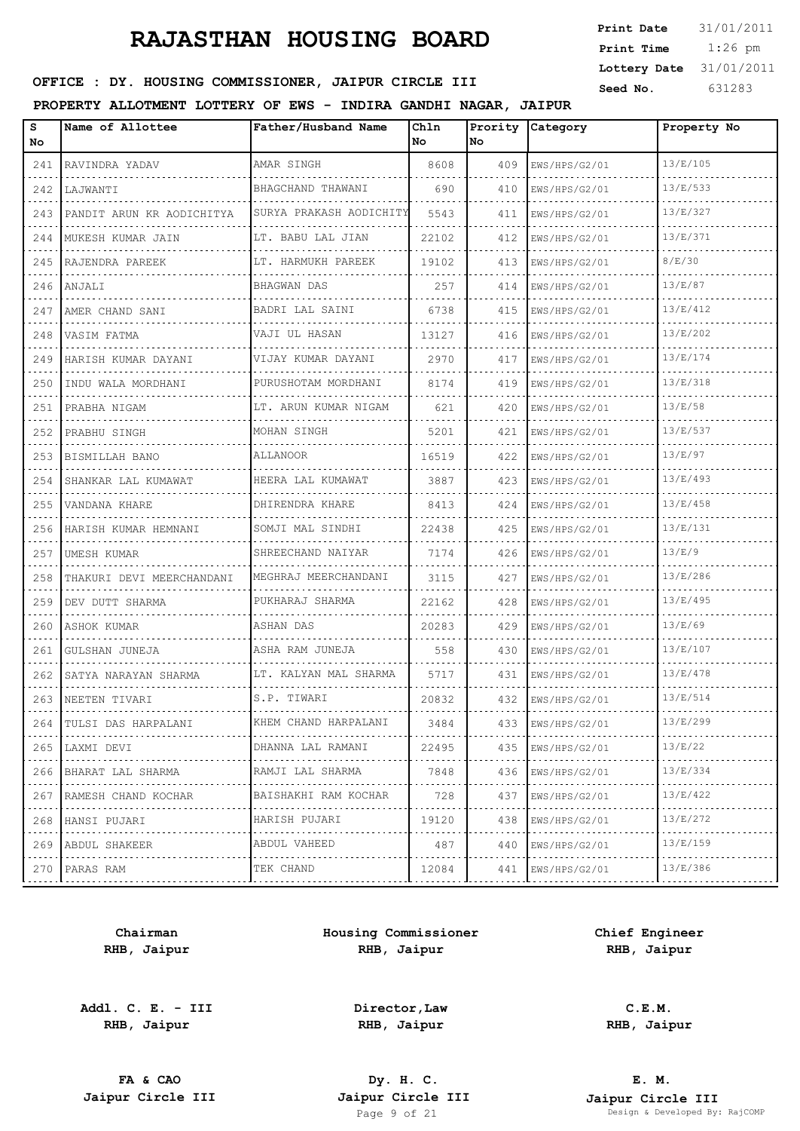| <b>Print Date</b> | 31/01/2011 |
|-------------------|------------|
| Print Time        | $1:26$ pm  |
| Lottery Date      | 31/01/2011 |
| Seed No.          | 631283     |

## OFFICE : DY. HOUSING COMMISSIONER, JAIPUR CIRCLE III

#### **PROPERTY ALLOTMENT LOTTERY OF EWS - INDIRA GANDHI NAGAR, JAIPUR**

| s<br>No | Name of Allottee              | Father/Husband Name     | Chln<br>No | Prority<br>No | Category           | Property No |
|---------|-------------------------------|-------------------------|------------|---------------|--------------------|-------------|
|         | 241 RAVINDRA YADAV            | AMAR SINGH              | 8608       | 409           | EWS/HPS/G2/01      | 13/E/105    |
| 242     | LAJWANTI                      | BHAGCHAND THAWANI       | 690        | 410           | EWS/HPS/G2/01      | 13/E/533    |
|         | 243 PANDIT ARUN KR AODICHITYA | SURYA PRAKASH AODICHITY | 5543       | 411           | EWS/HPS/G2/01      | 13/E/327    |
|         | 244   MUKESH KUMAR JAIN       | LT. BABU LAL JIAN       | 22102      | 412           | EWS/HPS/G2/01      | 13/E/371    |
|         | 245 RAJENDRA PAREEK           | LT. HARMUKH PAREEK      | 19102      | 413           | EWS/HPS/G2/01      | 8/E/30      |
|         | 246   ANJALI                  | BHAGWAN DAS             | 257        | 414           | EWS/HPS/G2/01      | 13/E/87     |
|         | 247   AMER CHAND SANI         | BADRI LAL SAINI         | 6738       | 415           | EWS/HPS/G2/01      | 13/E/412    |
| 248     | VASIM FATMA                   | VAJI UL HASAN           | 13127      | 416           | EWS/HPS/G2/01      | 13/E/202    |
| 249     | HARISH KUMAR DAYANI           | VIJAY KUMAR DAYANI      | 2970       | 417           | EWS/HPS/G2/01      | 13/E/174    |
| 250     | INDU WALA MORDHANI            | PURUSHOTAM MORDHANI     | 8174       | 419           | EWS/HPS/G2/01      | 13/E/318    |
| 251     | PRABHA NIGAM                  | LT. ARUN KUMAR NIGAM    | 621        | 420           | EWS/HPS/G2/01      | 13/E/58     |
| 252     | PRABHU SINGH                  | MOHAN SINGH             | 5201       | 421           | EWS/HPS/G2/01      | 13/E/537    |
| 253     | BISMILLAH BANO                | ALLANOOR                | 16519      | 422           | EWS/HPS/G2/01      | 13/E/97     |
| 254     | SHANKAR LAL KUMAWAT           | HEERA LAL KUMAWAT       | 3887       | 423           | EWS/HPS/G2/01      | 13/E/493    |
| 255     | VANDANA KHARE                 | DHIRENDRA KHARE         | 8413       | 424           | EWS/HPS/G2/01      | 13/E/458    |
| 256     | HARISH KUMAR HEMNANI          | SOMJI MAL SINDHI<br>.   | 22438      | 425           | EWS/HPS/G2/01      | 13/E/131    |
|         | 257   UMESH KUMAR             | SHREECHAND NAIYAR       | 7174       | 426           | EWS/HPS/G2/01      | 13/E/9      |
| 258     | THAKURI DEVI MEERCHANDANI     | MEGHRAJ MEERCHANDANI    | 3115       | 427           | EWS/HPS/G2/01      | 13/E/286    |
| 259     | DEV DUTT SHARMA               | PUKHARAJ SHARMA         | 22162      | 428           | EWS/HPS/G2/01      | 13/E/495    |
| 260     | ASHOK KUMAR                   | ASHAN DAS               | 20283      | 429           | EWS/HPS/G2/01      | 13/E/69     |
| 261     | GULSHAN JUNEJA                | ASHA RAM JUNEJA         | 558        | 430           | EWS/HPS/G2/01      | 13/E/107    |
| 262     | SATYA NARAYAN SHARMA          | LT. KALYAN MAL SHARMA   | 5717       | 431           | EWS/HPS/G2/01      | 13/E/478    |
|         | 263 INEETEN TIVARI            | S.P. TIWARI             | 20832      | 432           | EWS/HPS/G2/01      | 13/E/514    |
| 264     | TULSI DAS HARPALANI           | KHEM CHAND HARPALANI    | 3484       | 433           | EWS/HPS/G2/01      | 13/E/299    |
|         | 265 LAXMI DEVI                | DHANNA LAL RAMANI       | 22495      | 435           | EWS/HPS/G2/01      | 13/E/22     |
|         | 266   BHARAT LAL SHARMA       | RAMJI LAL SHARMA        | 7848       | 436           | EWS/HPS/G2/01      | 13/E/334    |
| 267     | RAMESH CHAND KOCHAR<br>.      | BAISHAKHI RAM KOCHAR    | 728        | 437           | EWS/HPS/G2/01<br>. | 13/E/422    |
| 268     | HANSI PUJARI                  | HARISH PUJARI           | 19120      | 438           | EWS/HPS/G2/01      | 13/E/272    |
|         | 269 ABDUL SHAKEER             | ABDUL VAHEED<br>.       | 487        | 440           | EWS/HPS/G2/01<br>. | 13/E/159    |
|         | 270 PARAS RAM                 | TEK CHAND               | 12084      | 441           | EWS/HPS/G2/01      | 13/E/386    |
|         |                               |                         |            |               |                    |             |

**Chairman RHB, Jaipur**

**Addl. C. E. - III RHB, Jaipur**

**Housing Commissioner RHB, Jaipur**

**Chief Engineer RHB, Jaipur**

**Director,Law RHB, Jaipur**

**C.E.M. RHB, Jaipur**

**FA & CAO Dy. H. C.**

**E. M. Jaipur Circle III Jaipur Circle III Jaipur Circle III Jaipur Circle III Jaipur Circle III Page 9 of 21 Design & Developed By:** Page 9 of 21 Design & Developed By: RajCOMP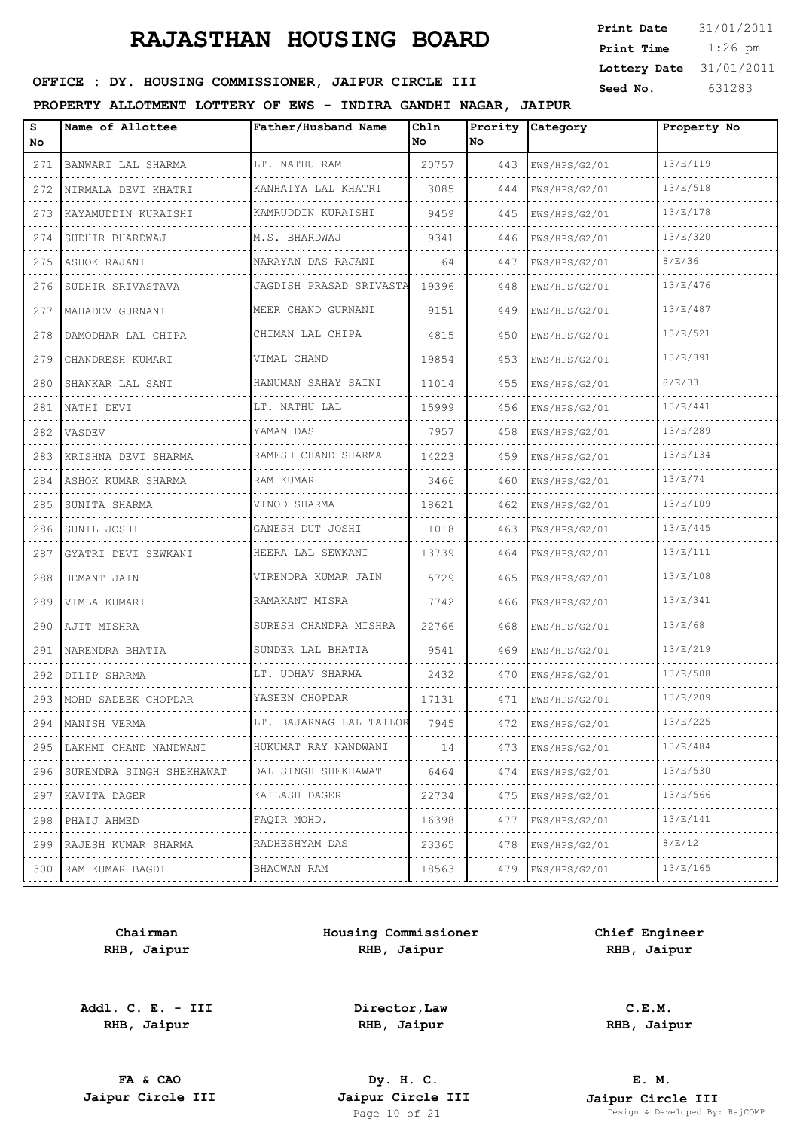| <b>Print Date</b> | 31/01/2011 |
|-------------------|------------|
| Print Time        | $1:26$ pm  |
| Lottery Date      | 31/01/2011 |
| Seed No.          | 631283     |

## OFFICE : DY. HOUSING COMMISSIONER, JAIPUR CIRCLE III

#### **PROPERTY ALLOTMENT LOTTERY OF EWS - INDIRA GANDHI NAGAR, JAIPUR**

| s<br>No | Name of Allottee               | Father/Husband Name      | Chln<br>No | Prority<br>No. | Category      | Property No |
|---------|--------------------------------|--------------------------|------------|----------------|---------------|-------------|
| 271     | BANWARI LAL SHARMA<br><u>.</u> | LT. NATHU RAM            | 20757      | 443            | EWS/HPS/G2/01 | 13/E/119    |
| 272     | NIRMALA DEVI KHATRI            | KANHAIYA LAL KHATRI<br>. | 3085       | 444            | EWS/HPS/G2/01 | 13/E/518    |
| 273     | KAYAMUDDIN KURAISHI<br>.       | KAMRUDDIN KURAISHI       | 9459       | 445            | EWS/HPS/G2/01 | 13/E/178    |
| 274     | SUDHIR BHARDWAJ                | M.S. BHARDWAJ            | 9341       | 446            | EWS/HPS/G2/01 | 13/E/320    |
| 275     | ASHOK RAJANI                   | NARAYAN DAS RAJANI       | 64         | 447            | EWS/HPS/G2/01 | 8/E/36      |
| 276     | SUDHIR SRIVASTAVA              | JAGDISH PRASAD SRIVASTA  | 19396      | 448            | EWS/HPS/G2/01 | 13/E/476    |
| 277     | MAHADEV GURNANI                | MEER CHAND GURNANI       | 9151       | 449            | EWS/HPS/G2/01 | 13/E/487    |
| 278     | DAMODHAR LAL CHIPA             | CHIMAN LAL CHIPA         | 4815       | 450            | EWS/HPS/G2/01 | 13/E/521    |
| 279     | CHANDRESH KUMARI               | VIMAL CHAND              | 19854      | 453            | EWS/HPS/G2/01 | 13/E/391    |
| 280     | SHANKAR LAL SANI               | HANUMAN SAHAY SAINI      | 11014      | 455            | EWS/HPS/G2/01 | 8/E/33      |
| 281     | NATHI DEVI                     | LT. NATHU LAL            | 15999      | 456            | EWS/HPS/G2/01 | 13/E/441    |
| 282     | VASDEV                         | YAMAN DAS                | 7957       | 458            | EWS/HPS/G2/01 | 13/E/289    |
| 283     | KRISHNA DEVI SHARMA            | RAMESH CHAND SHARMA      | 14223      | 459            | EWS/HPS/G2/01 | 13/E/134    |
| 284     | ASHOK KUMAR SHARMA             | RAM KUMAR                | 3466       | 460            | EWS/HPS/G2/01 | 13/E/74     |
| 285     | SUNITA SHARMA                  | VINOD SHARMA             | 18621      | 462            | EWS/HPS/G2/01 | 13/E/109    |
| 286     | SUNIL JOSHI                    | GANESH DUT JOSHI<br>.    | 1018       | 463            | EWS/HPS/G2/01 | 13/E/445    |
| 287     | GYATRI DEVI SEWKANI            | HEERA LAL SEWKANI        | 13739      | 464            | EWS/HPS/G2/01 | 13/E/111    |
| 288     | HEMANT JAIN                    | VIRENDRA KUMAR JAIN      | 5729       | 465            | EWS/HPS/G2/01 | 13/E/108    |
| 289     | VIMLA KUMARI                   | RAMAKANT MISRA           | 7742       | 466            | EWS/HPS/G2/01 | 13/E/341    |
| 290     | AJIT MISHRA                    | SURESH CHANDRA MISHRA    | 22766      | 468            | EWS/HPS/G2/01 | 13/E/68     |
| 291     | NARENDRA BHATIA                | SUNDER LAL BHATIA        | 9541       | 469            | EWS/HPS/G2/01 | 13/E/219    |
| 292     | DILIP SHARMA                   | LT. UDHAV SHARMA         | 2432       | 470            | EWS/HPS/G2/01 | 13/E/508    |
|         | 293 MOHD SADEEK CHOPDAR        | YASEEN CHOPDAR           | 17131      | 471            | EWS/HPS/G2/01 | 13/E/209    |
| 294     | MANISH VERMA                   | LT. BAJARNAG LAL TAILOR  | 7945       | 472            | EWS/HPS/G2/01 | 13/E/225    |
| 295     | LAKHMI CHAND NANDWANI          | HUKUMAT RAY NANDWANI     | 14         | 473            | EWS/HPS/G2/01 | 13/E/484    |
| 296     | SURENDRA SINGH SHEKHAWAT       | DAL SINGH SHEKHAWAT      | 6464       | 474            | EWS/HPS/G2/01 | 13/E/530    |
| 297     | KAVITA DAGER                   | KAILASH DAGER<br>.       | 22734      | 475            | EWS/HPS/G2/01 | 13/E/566    |
| 298     | PHAIJ AHMED                    | FAQIR MOHD.              | 16398      | 477            | EWS/HPS/G2/01 | 13/E/141    |
| 299     | RAJESH KUMAR SHARMA            | RADHESHYAM DAS<br>.      | 23365      | 478            | EWS/HPS/G2/01 | 8/E/12      |
| 300     | RAM KUMAR BAGDI                | BHAGWAN RAM<br>.         | 18563      | 479            | EWS/HPS/G2/01 | 13/E/165    |
|         |                                |                          |            |                |               |             |

**Chairman RHB, Jaipur**

**Addl. C. E. - III RHB, Jaipur**

**Housing Commissioner RHB, Jaipur**

**Chief Engineer RHB, Jaipur**

**Director,Law RHB, Jaipur**

**FA & CAO Dy. H. C.**

**C.E.M. RHB, Jaipur**

**E. M. Jaipur Circle III Jaipur Circle III Jaipur Circle III Jaipur Circle III Jaipur Circle III Page 10 of 21 Design & Developed By:** Pesign & Developed By: RajCOMP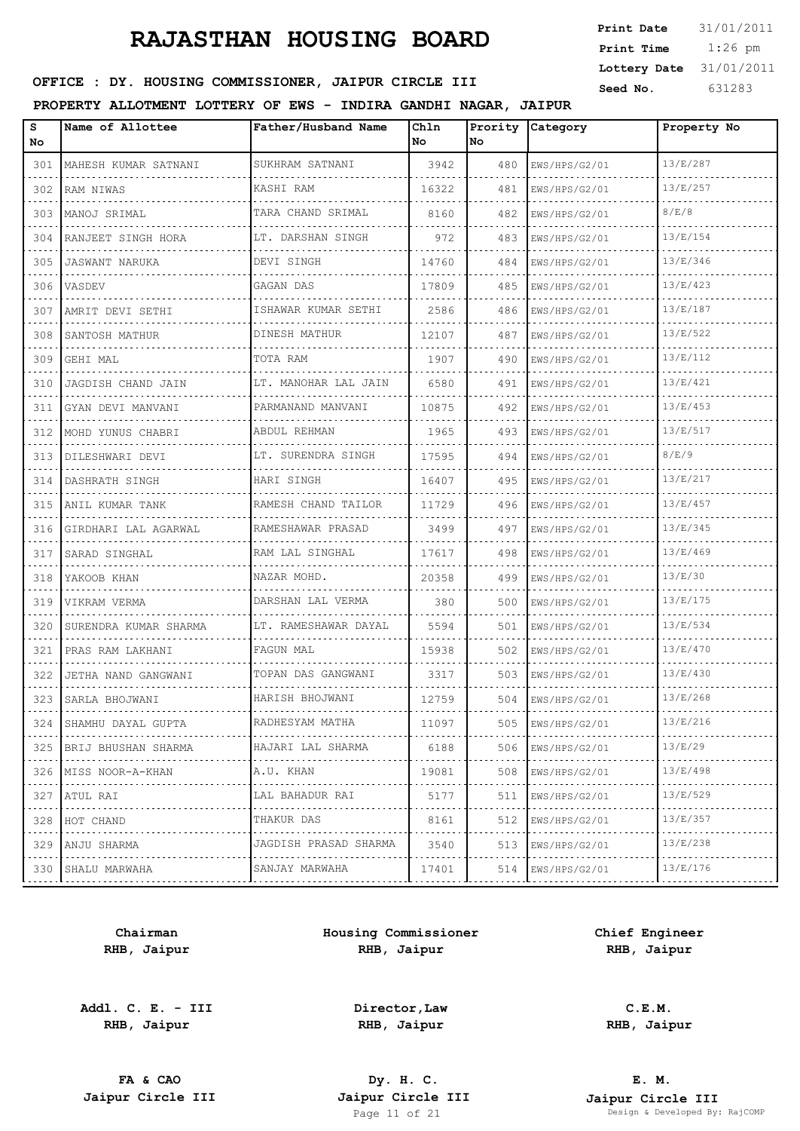| <b>Print Date</b> | 31/01/2011 |
|-------------------|------------|
| Print Time        | $1:26$ pm  |
| Lottery Date      | 31/01/2011 |
| Seed No.          | 631283     |

## OFFICE : DY. HOUSING COMMISSIONER, JAIPUR CIRCLE III

#### **PROPERTY ALLOTMENT LOTTERY OF EWS - INDIRA GANDHI NAGAR, JAIPUR**

| s<br>No. | Name of Allottee         | Father/Husband Name   | Chln<br>No. | Prority<br>No. | Category           | Property No |
|----------|--------------------------|-----------------------|-------------|----------------|--------------------|-------------|
| 301      | MAHESH KUMAR SATNANI     | SUKHRAM SATNANI       | 3942        | 480            | EWS/HPS/G2/01      | 13/E/287    |
| 302      | RAM NIWAS                | KASHI RAM             | 16322       | 481            | EWS/HPS/G2/01      | 13/E/257    |
| 303      | MANOJ SRIMAL             | TARA CHAND SRIMAL     | 8160        | 482            | EWS/HPS/G2/01      | 8/E/8       |
| 304      | RANJEET SINGH HORA       | LT. DARSHAN SINGH     | 972         | 483            | EWS/HPS/G2/01      | 13/E/154    |
| 305      | JASWANT NARUKA           | DEVI SINGH            | 14760       | 484            | EWS/HPS/G2/01      | 13/E/346    |
| 306      | VASDEV                   | GAGAN DAS             | 17809       | 485            | EWS/HPS/G2/01      | 13/E/423    |
| 307      | AMRIT DEVI SETHI         | ISHAWAR KUMAR SETHI   | 2586        | 486            | EWS/HPS/G2/01      | 13/E/187    |
| 308      | SANTOSH MATHUR           | DINESH MATHUR         | 12107       | 487            | EWS/HPS/G2/01      | 13/E/522    |
| 309      | GEHI MAL                 | TOTA RAM              | 1907        | 490            | EWS/HPS/G2/01      | 13/E/112    |
| 310      | JAGDISH CHAND JAIN       | LT. MANOHAR LAL JAIN  | 6580        | 491            | EWS/HPS/G2/01      | 13/E/421    |
| 311      | GYAN DEVI MANVANI        | PARMANAND MANVANI     | 10875       | 492            | EWS/HPS/G2/01      | 13/E/453    |
| 312      | MOHD YUNUS CHABRI        | ABDUL REHMAN          | 1965        | 493            | EWS/HPS/G2/01      | 13/E/517    |
| 313      | DILESHWARI DEVI          | LT. SURENDRA SINGH    | 17595       | 494            | EWS/HPS/G2/01      | 8/E/9       |
| 314      | DASHRATH SINGH           | HARI SINGH            | 16407       | 495            | EWS/HPS/G2/01      | 13/E/217    |
| 315      | ANIL KUMAR TANK          | RAMESH CHAND TAILOR   | 11729       | 496            | EWS/HPS/G2/01      | 13/E/457    |
| 316      | GIRDHARI LAL AGARWAL     | RAMESHAWAR PRASAD     | 3499        | 497            | EWS/HPS/G2/01      | 13/E/345    |
| 317      | SARAD SINGHAL            | RAM LAL SINGHAL       | 17617       | 498            | EWS/HPS/G2/01      | 13/E/469    |
| 318      | YAKOOB KHAN              | NAZAR MOHD.           | 20358       | 499            | EWS/HPS/G2/01      | 13/E/30     |
| 319      | VIKRAM VERMA             | DARSHAN LAL VERMA     | 380         | 500            | EWS/HPS/G2/01      | 13/E/175    |
| 320      | SURENDRA KUMAR SHARMA    | LT. RAMESHAWAR DAYAL  | 5594        | 501            | EWS/HPS/G2/01<br>. | 13/E/534    |
| 321      | PRAS RAM LAKHANI         | FAGUN MAL             | 15938       | 502            | EWS/HPS/G2/01      | 13/E/470    |
| 322      | JETHA NAND GANGWANI      | TOPAN DAS GANGWANI    | 3317        | 503            | EWS/HPS/G2/01      | 13/E/430    |
| 323      | SARLA BHOJWANI           | HARISH BHOJWANI       | 12759       | 504            | EWS/HPS/G2/01      | 13/E/268    |
|          | 324 SHAMHU DAYAL GUPTA   | RADHESYAM MATHA       | 11097       | 505            | EWS/HPS/G2/01      | 13/E/216    |
| 325      | BRIJ BHUSHAN SHARMA<br>. | HAJARI LAL SHARMA     | 6188        | 506            | EWS/HPS/G2/01<br>. | 13/E/29     |
| 326      | MISS NOOR-A-KHAN         | A.U. KHAN             | 19081       | 508            | EWS/HPS/G2/01      | 13/E/498    |
| 327      | ATUL RAI                 | LAL BAHADUR RAI<br>.  | 5177        | 511            | EWS/HPS/G2/01<br>. | 13/E/529    |
| 328      | HOT CHAND                | THAKUR DAS            | 8161        | 512            | EWS/HPS/G2/01      | 13/E/357    |
| 329      | ANJU SHARMA              | JAGDISH PRASAD SHARMA | 3540        | 513            | EWS/HPS/G2/01      | 13/E/238    |
| 330      | SHALU MARWAHA            | SANJAY MARWAHA<br>.   | 17401       | 514            | EWS/HPS/G2/01      | 13/E/176    |
|          |                          |                       |             |                |                    |             |

**Chairman RHB, Jaipur**

**Addl. C. E. - III RHB, Jaipur**

**Housing Commissioner RHB, Jaipur**

**Chief Engineer RHB, Jaipur**

**Director,Law RHB, Jaipur**

**C.E.M. RHB, Jaipur**

**FA & CAO Dy. H. C.**

**E. M. Jaipur Circle III Jaipur Circle III Jaipur Circle III Jaipur Circle III Jaipur Circle III Page 11 of 21 Design & Developed By:** Pesign & Developed By: RajCOMP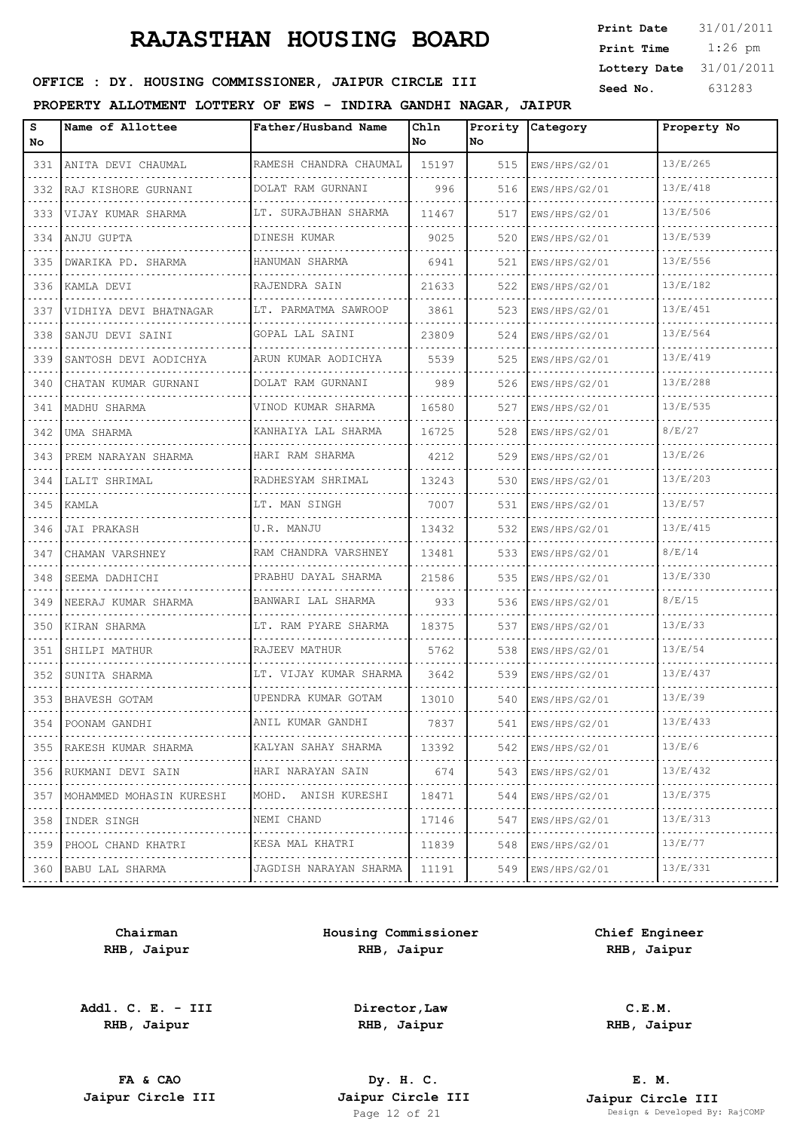| <b>Print Date</b> | 31/01/2011 |
|-------------------|------------|
| Print Time        | $1:26$ pm  |
| Lottery Date      | 31/01/2011 |
| Seed No.          | 631283     |

### OFFICE : DY. HOUSING COMMISSIONER, JAIPUR CIRCLE III

#### **PROPERTY ALLOTMENT LOTTERY OF EWS - INDIRA GANDHI NAGAR, JAIPUR**

| s<br>No | Name of Allottee         | Father/Husband Name      | Chln<br>No | Prority<br>No. | <b>Category</b>    | Property No |
|---------|--------------------------|--------------------------|------------|----------------|--------------------|-------------|
| 331     | ANITA DEVI CHAUMAL<br>.  | RAMESH CHANDRA CHAUMAL   | 15197      | 515            | EWS/HPS/G2/01      | 13/E/265    |
| 332     | RAJ KISHORE GURNANI      | DOLAT RAM GURNANI<br>.   | 996        | 516            | EWS/HPS/G2/01      | 13/E/418    |
| 333     | VIJAY KUMAR SHARMA       | LT. SURAJBHAN SHARMA     | 11467      | 517            | EWS/HPS/G2/01      | 13/E/506    |
| 334     | ANJU GUPTA               | DINESH KUMAR             | 9025       | 520            | EWS/HPS/G2/01      | 13/E/539    |
| 335     | DWARIKA PD. SHARMA       | HANUMAN SHARMA           | 6941       | 521            | EWS/HPS/G2/01      | 13/E/556    |
| 336     | KAMLA DEVI               | RAJENDRA SAIN            | 21633      | 522            | EWS/HPS/G2/01      | 13/E/182    |
| 337     | VIDHIYA DEVI BHATNAGAR   | LT. PARMATMA SAWROOP     | 3861       | 523            | EWS/HPS/G2/01      | 13/E/451    |
| 338     | SANJU DEVI SAINI         | GOPAL LAL SAINI          | 23809      | 524            | EWS/HPS/G2/01      | 13/E/564    |
| 339     | SANTOSH DEVI AODICHYA    | ARUN KUMAR AODICHYA      | 5539       | 525            | EWS/HPS/G2/01      | 13/E/419    |
| 340     | CHATAN KUMAR GURNANI     | DOLAT RAM GURNANI        | 989        | 526            | EWS/HPS/G2/01      | 13/E/288    |
| 341     | MADHU SHARMA             | VINOD KUMAR SHARMA       | 16580      | 527            | EWS/HPS/G2/01      | 13/E/535    |
| 342     | UMA SHARMA               | KANHAIYA LAL SHARMA      | 16725      | 528            | EWS/HPS/G2/01      | 8/E/27      |
| 343     | PREM NARAYAN SHARMA      | HARI RAM SHARMA          | 4212       | 529            | EWS/HPS/G2/01      | 13/E/26     |
| 344     | LALIT SHRIMAL            | RADHESYAM SHRIMAL        | 13243      | 530            | EWS/HPS/G2/01      | 13/E/203    |
| 345     | KAMLA                    | LT. MAN SINGH            | 7007       | 531            | EWS/HPS/G2/01      | 13/E/57     |
| 346     | JAI PRAKASH              | U.R. MANJU               | 13432      | 532            | EWS/HPS/G2/01      | 13/E/415    |
| 347     | CHAMAN VARSHNEY          | RAM CHANDRA VARSHNEY     | 13481      | 533            | EWS/HPS/G2/01      | 8/E/14      |
| 348     | SEEMA DADHICHI           | PRABHU DAYAL SHARMA      | 21586      | 535            | EWS/HPS/G2/01      | 13/E/330    |
| 349     | NEERAJ KUMAR SHARMA      | BANWARI LAL SHARMA       | 933        | 536            | EWS/HPS/G2/01      | 8/E/15      |
| 350     | KIRAN SHARMA             | LT. RAM PYARE SHARMA     | 18375      | 537            | EWS/HPS/G2/01      | 13/E/33     |
| 351     | SHILPI MATHUR            | RAJEEV MATHUR            | 5762       | 538            | EWS/HPS/G2/01      | 13/E/54     |
| 352     | SUNITA SHARMA            | LT. VIJAY KUMAR SHARMA   | 3642       | 539            | EWS/HPS/G2/01      | 13/E/437    |
| 353     | BHAVESH GOTAM            | UPENDRA KUMAR GOTAM      | 13010      | 540            | EWS/HPS/G2/01      | 13/E/39     |
| 354     | POONAM GANDHI            | ANIL KUMAR GANDHI        | 7837       | 541            | EWS/HPS/G2/01      | 13/E/433    |
| 355     | RAKESH KUMAR SHARMA<br>. | KALYAN SAHAY SHARMA<br>. | 13392      | 542            | EWS/HPS/G2/01      | 13/E/6      |
| 356     | RUKMANI DEVI SAIN        | HARI NARAYAN SAIN        | 674        | 543            | EWS/HPS/G2/01      | 13/E/432    |
| 357     | MOHAMMED MOHASIN KURESHI | MOHD. ANISH KURESHI<br>. | 18471      | 544            | EWS/HPS/G2/01<br>. | 13/E/375    |
| 358     | INDER SINGH              | NEMI CHAND               | 17146      | 547            | EWS/HPS/G2/01      | 13/E/313    |
| 359     | PHOOL CHAND KHATRI       | KESA MAL KHATRI<br>.     | 11839      | 548            | EWS/HPS/G2/01<br>. | 13/E/77     |
|         | 360 BABU LAL SHARMA      | JAGDISH NARAYAN SHARMA   | 11191      | 549            | EWS/HPS/G2/01<br>. | 13/E/331    |

**Chairman RHB, Jaipur**

**Addl. C. E. - III RHB, Jaipur**

**Housing Commissioner RHB, Jaipur**

**Chief Engineer RHB, Jaipur**

**Director,Law RHB, Jaipur**

**C.E.M. RHB, Jaipur**

**FA & CAO Dy. H. C.**

**E. M. Jaipur Circle III Jaipur Circle III Jaipur Circle III Jaipur Circle III Jaipur Circle III Page 12 of 21 Design & Developed By:** Page 12 of 21 Design & Developed By: RajCOMP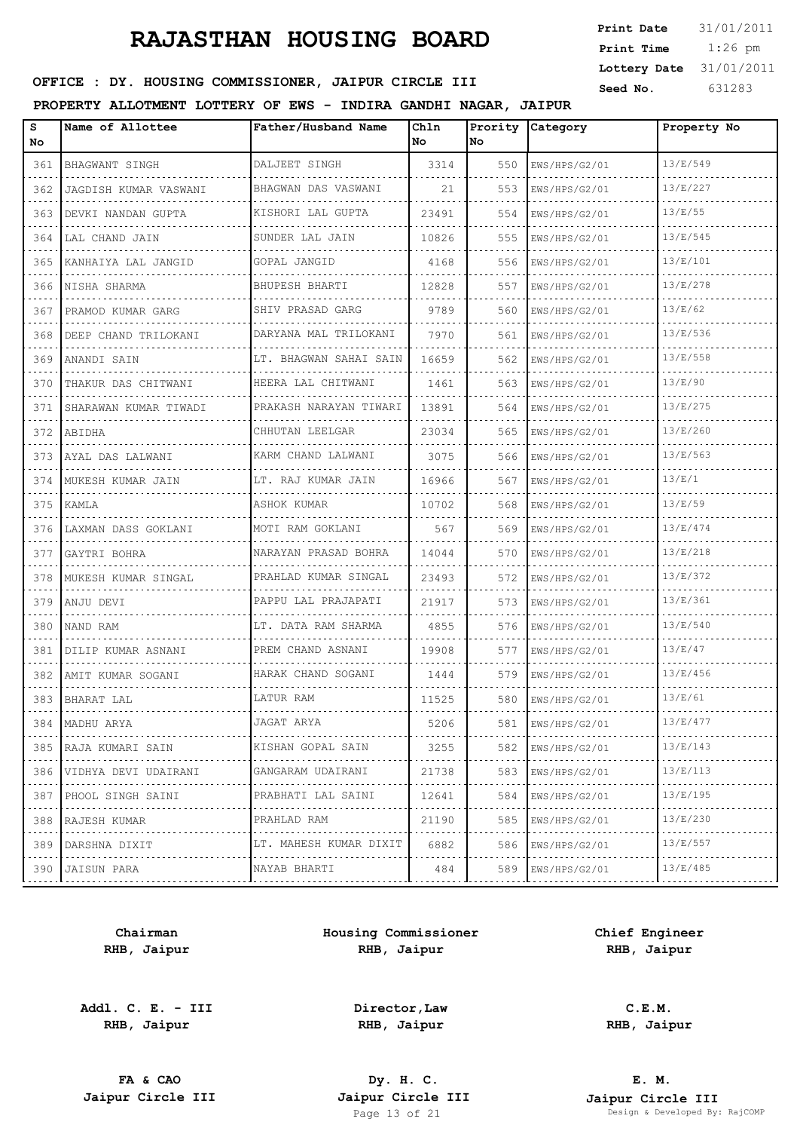1:26 pm **Print Date**  $31/01/2011$ **Print Time Lottery Date** 31/01/2011

## **SEED OFFICE : DY. HOUSING COMMISSIONER, JAIPUR CIRCLE III** Seed No. 631283

#### **PROPERTY ALLOTMENT LOTTERY OF EWS - INDIRA GANDHI NAGAR, JAIPUR**

| s<br>No | Name of Allottee          | Father/Husband Name    | Ch1n<br>No | No  | Prority Category | Property No |
|---------|---------------------------|------------------------|------------|-----|------------------|-------------|
| 361     | BHAGWANT SINGH            | DALJEET SINGH          | 3314       | 550 | EWS/HPS/G2/01    | 13/E/549    |
| 362     | JAGDISH KUMAR VASWANI     | BHAGWAN DAS VASWANI    | 21         | 553 | EWS/HPS/G2/01    | 13/E/227    |
| 363     | DEVKI NANDAN GUPTA        | KISHORI LAL GUPTA      | 23491      | 554 | EWS/HPS/G2/01    | 13/E/55     |
| 364     | LAL CHAND JAIN            | SUNDER LAL JAIN        | 10826      | 555 | EWS/HPS/G2/01    | 13/E/545    |
| 365     | KANHAIYA LAL JANGID       | GOPAL JANGID           | 4168       | 556 | EWS/HPS/G2/01    | 13/E/101    |
| 366     | INISHA SHARMA             | BHUPESH BHARTI         | 12828      | 557 | EWS/HPS/G2/01    | 13/E/278    |
| 367     | PRAMOD KUMAR GARG         | SHIV PRASAD GARG       | 9789       | 560 | EWS/HPS/G2/01    | 13/E/62     |
| 368     | DEEP CHAND TRILOKANI      | DARYANA MAL TRILOKANI  | 7970       | 561 | EWS/HPS/G2/01    | 13/E/536    |
| 369     | ANANDI SAIN               | LT. BHAGWAN SAHAI SAIN | 16659      | 562 | EWS/HPS/G2/01    | 13/E/558    |
| 370     | THAKUR DAS CHITWANI       | HEERA LAL CHITWANI     | 1461       | 563 | EWS/HPS/G2/01    | 13/E/90     |
| 371     | SHARAWAN KUMAR TIWADI     | PRAKASH NARAYAN TIWARI | 13891      | 564 | EWS/HPS/G2/01    | 13/E/275    |
| 372     | ABIDHA                    | CHHUTAN LEELGAR        | 23034      | 565 | EWS/HPS/G2/01    | 13/E/260    |
| 373     | AYAL DAS LALWANI          | KARM CHAND LALWANI     | 3075       | 566 | EWS/HPS/G2/01    | 13/E/563    |
| 374     | MUKESH KUMAR JAIN         | LT. RAJ KUMAR JAIN     | 16966      | 567 | EWS/HPS/G2/01    | 13/E/1      |
| 375     | KAMLA                     | ASHOK KUMAR            | 10702      | 568 | EWS/HPS/G2/01    | 13/E/59     |
| 376     | LAXMAN DASS GOKLANI       | MOTI RAM GOKLANI       | 567        | 569 | EWS/HPS/G2/01    | 13/E/474    |
| 377     | GAYTRI BOHRA              | NARAYAN PRASAD BOHRA   | 14044      | 570 | EWS/HPS/G2/01    | 13/E/218    |
| 378     | MUKESH KUMAR SINGAL       | PRAHLAD KUMAR SINGAL   | 23493      | 572 | EWS/HPS/G2/01    | 13/E/372    |
| 379     | ANJU DEVI                 | PAPPU LAL PRAJAPATI    | 21917      | 573 | EWS/HPS/G2/01    | 13/E/361    |
| 380     | NAND RAM                  | LT. DATA RAM SHARMA    | 4855       | 576 | EWS/HPS/G2/01    | 13/E/540    |
| 381     | DILIP KUMAR ASNANI        | PREM CHAND ASNANI      | 19908      | 577 | EWS/HPS/G2/01    | 13/E/47     |
| 382     | AMIT KUMAR SOGANI         | HARAK CHAND SOGANI     | 1444       | 579 | EWS/HPS/G2/01    | 13/E/456    |
| 383     | BHARAT LAL                | LATUR RAM              | 11525      | 580 | EWS/HPS/G2/01    | 13/E/61     |
| 384     | MADHU ARYA                | JAGAT ARYA             | 5206       | 581 | EWS/HPS/G2/01    | 13/E/477    |
| 385     | RAJA KUMARI SAIN          | KISHAN GOPAL SAIN      | 3255       | 582 | EWS/HPS/G2/01    | 13/E/143    |
| 386     | .<br>VIDHYA DEVI UDAIRANI | .<br>GANGARAM UDAIRANI | 21738      | 583 | EWS/HPS/G2/01    | 13/E/113    |
| 387     | PHOOL SINGH SAINI         | PRABHATI LAL SAINI     | 12641      | 584 | EWS/HPS/G2/01    | 13/E/195    |
| 388     | .<br>RAJESH KUMAR         | PRAHLAD RAM            | 21190      | 585 | EWS/HPS/G2/01    | 13/E/230    |
| 389     | .<br>DARSHNA DIXIT<br>.   | LT. MAHESH KUMAR DIXIT | 6882       | 586 | EWS/HPS/G2/01    | 13/E/557    |
| 390     | JAISUN PARA               | NAYAB BHARTI           | 484        | 589 | EWS/HPS/G2/01    | 13/E/485    |
|         |                           | .                      |            |     |                  |             |

**Chairman RHB, Jaipur**

**Addl. C. E. - III RHB, Jaipur**

**Housing Commissioner RHB, Jaipur**

**Chief Engineer RHB, Jaipur**

**Director,Law RHB, Jaipur**

**FA & CAO Dy. H. C.**

**RHB, Jaipur**

**C.E.M.**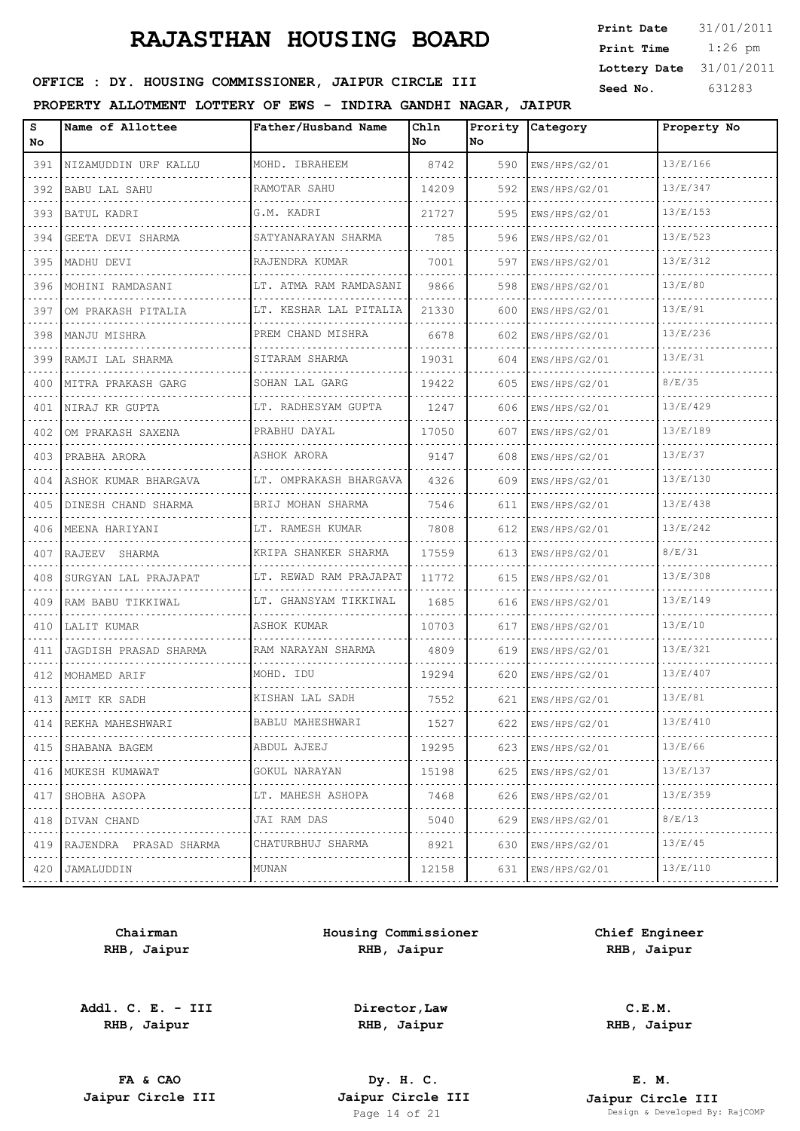| <b>Print Date</b> | 31/01/2011 |
|-------------------|------------|
| Print Time        | $1:26$ pm  |
| Lottery Date      | 31/01/2011 |
| Seed No.          | 631283     |

### OFFICE : DY. HOUSING COMMISSIONER, JAIPUR CIRCLE III

#### **PROPERTY ALLOTMENT LOTTERY OF EWS - INDIRA GANDHI NAGAR, JAIPUR**

| s<br>No | Name of Allottee           | Father/Husband Name         | Ch1n<br>No | No. | Prority Category | Property No |
|---------|----------------------------|-----------------------------|------------|-----|------------------|-------------|
| 391     | NIZAMUDDIN URF KALLU       | MOHD. IBRAHEEM              | 8742       | 590 | EWS/HPS/G2/01    | 13/E/166    |
| 392     | BABU LAL SAHU              | RAMOTAR SAHU                | 14209      | 592 | EWS/HPS/G2/01    | 13/E/347    |
| 393     | BATUL KADRI                | G.M. KADRI                  | 21727      | 595 | EWS/HPS/G2/01    | 13/E/153    |
| 394     | GEETA DEVI SHARMA          | SATYANARAYAN SHARMA         | 785        | 596 | EWS/HPS/G2/01    | 13/E/523    |
| 395     | MADHU DEVI                 | RAJENDRA KUMAR              | 7001       | 597 | EWS/HPS/G2/01    | 13/E/312    |
| 396     | MOHINI RAMDASANI           | LT. ATMA RAM RAMDASANI      | 9866       | 598 | EWS/HPS/G2/01    | 13/E/80     |
| 397     | OM PRAKASH PITALIA         | LT. KESHAR LAL PITALIA      | 21330      | 600 | EWS/HPS/G2/01    | 13/E/91     |
| 398     | MANJU MISHRA               | PREM CHAND MISHRA<br>.      | 6678       | 602 | EWS/HPS/G2/01    | 13/E/236    |
| 399     | RAMJI LAL SHARMA           | SITARAM SHARMA              | 19031      | 604 | EWS/HPS/G2/01    | 13/E/31     |
| 400     | MITRA PRAKASH GARG         | SOHAN LAL GARG<br>.         | 19422      | 605 | EWS/HPS/G2/01    | 8/E/35      |
| 401     | NIRAJ KR GUPTA             | LT. RADHESYAM GUPTA         | 1247       | 606 | EWS/HPS/G2/01    | 13/E/429    |
| 402     | OM PRAKASH SAXENA          | PRABHU DAYAL                | 17050      | 607 | EWS/HPS/G2/01    | 13/E/189    |
| 403     | PRABHA ARORA               | ASHOK ARORA                 | 9147       | 608 | EWS/HPS/G2/01    | 13/E/37     |
| 404     | ASHOK KUMAR BHARGAVA       | LT. OMPRAKASH BHARGAVA<br>. | 4326       | 609 | EWS/HPS/G2/01    | 13/E/130    |
| 405     | DINESH CHAND SHARMA        | BRIJ MOHAN SHARMA           | 7546       | 611 | EWS/HPS/G2/01    | 13/E/438    |
| 406     | MEENA HARIYANI             | LT. RAMESH KUMAR            | 7808       | 612 | EWS/HPS/G2/01    | 13/E/242    |
| 407     | RAJEEV SHARMA              | KRIPA SHANKER SHARMA        | 17559      | 613 | EWS/HPS/G2/01    | 8/E/31      |
| 408     | SURGYAN LAL PRAJAPAT       | LT. REWAD RAM PRAJAPAT      | 11772      | 615 | EWS/HPS/G2/01    | 13/E/308    |
| 409     | RAM BABU TIKKIWAL          | LT. GHANSYAM TIKKIWAL       | 1685       | 616 | EWS/HPS/G2/01    | 13/E/149    |
| 410     | LALIT KUMAR                | ASHOK KUMAR                 | 10703      | 617 | EWS/HPS/G2/01    | 13/E/10     |
| 411     | JAGDISH PRASAD SHARMA      | RAM NARAYAN SHARMA          | 4809       | 619 | EWS/HPS/G2/01    | 13/E/321    |
| 412     | MOHAMED ARIF               | MOHD. IDU                   | 19294      | 620 | EWS/HPS/G2/01    | 13/E/407    |
|         | 413 AMIT KR SADH           | KISHAN LAL SADH             | 7552       | 621 | EWS/HPS/G2/01    | 13/E/81     |
|         | 414   REKHA MAHESHWARI     | BABLU MAHESHWARI            | 1527       | 622 | EWS/HPS/G2/01    | 13/E/410    |
|         | 415 SHABANA BAGEM          | ABDUL AJEEJ                 | 19295      | 623 | EWS/HPS/G2/01    | 13/E/66     |
|         | 416   MUKESH KUMAWAT       | GOKUL NARAYAN               | 15198      | 625 | EWS/HPS/G2/01    | 13/E/137    |
|         | 417   SHOBHA ASOPA         | LT. MAHESH ASHOPA           | 7468       | 626 | EWS/HPS/G2/01    | 13/E/359    |
|         | 418   DIVAN CHAND          | JAI RAM DAS                 | 5040       | 629 | EWS/HPS/G2/01    | 8/E/13      |
|         | 419 RAJENDRA PRASAD SHARMA | CHATURBHUJ SHARMA           | 8921       | 630 | EWS/HPS/G2/01    | 13/E/45     |
|         | 420 JAMALUDDIN             | MUNAN                       | 12158      | 631 | EWS/HPS/G2/01    | 13/E/110    |

**Chairman RHB, Jaipur**

**Addl. C. E. - III RHB, Jaipur**

**Housing Commissioner RHB, Jaipur**

**Chief Engineer RHB, Jaipur**

> **C.E.M. RHB, Jaipur**

**Director,Law RHB, Jaipur**

**FA & CAO Dy. H. C.**

**E. M. Jaipur Circle III Jaipur Circle III Jaipur Circle III Jaipur Circle III Jaipur Circle III Page 14 of 21 Design & Developed By:** Page 14 Developed By: RajCOMP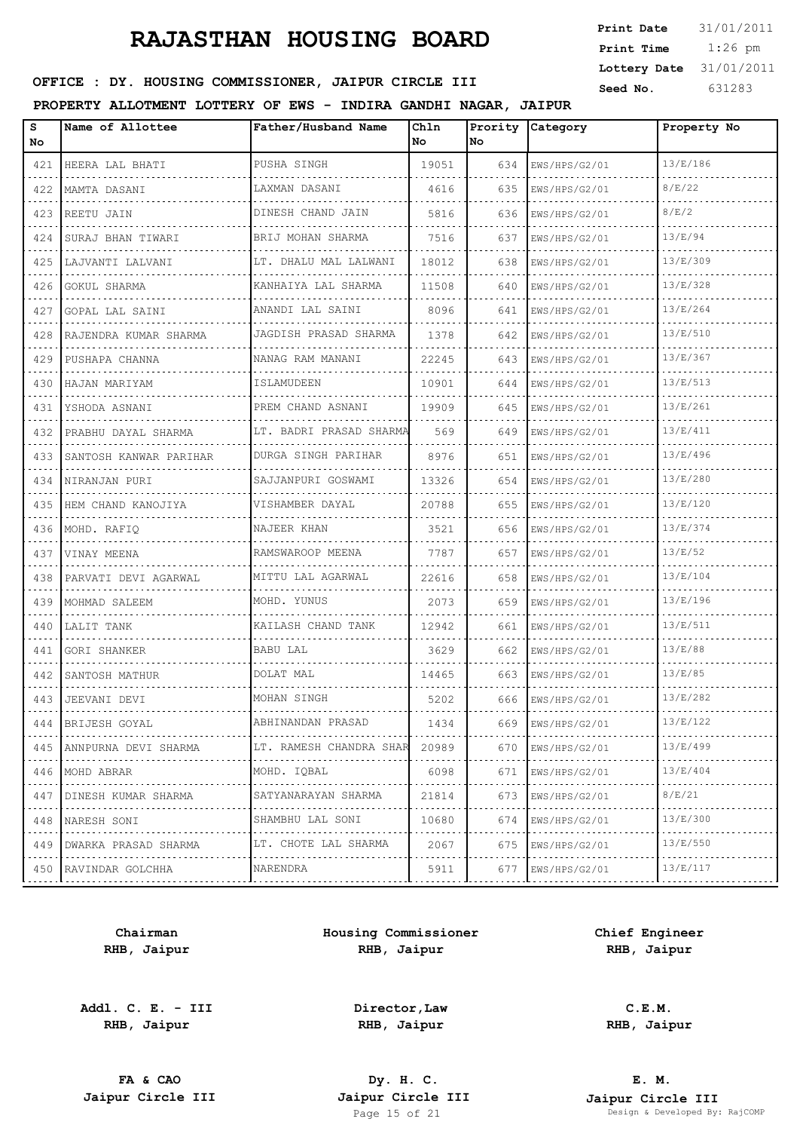| <b>Print Date</b> | 31/01/2011 |
|-------------------|------------|
| Print Time        | $1:26$ pm  |
| Lottery Date      | 31/01/2011 |
| Seed No.          | 631283     |

### OFFICE : DY. HOUSING COMMISSIONER, JAIPUR CIRCLE III

#### **PROPERTY ALLOTMENT LOTTERY OF EWS - INDIRA GANDHI NAGAR, JAIPUR**

| s<br>No                                                                                                                                              | Name of Allottee         | Father/Husband Name      | Chln<br>No | No. | Prority Category   | Property No |
|------------------------------------------------------------------------------------------------------------------------------------------------------|--------------------------|--------------------------|------------|-----|--------------------|-------------|
| 421                                                                                                                                                  | HEERA LAL BHATI          | PUSHA SINGH<br>.         | 19051      | 634 | EWS/HPS/G2/01      | 13/E/186    |
| 422                                                                                                                                                  | MAMTA DASANI             | LAXMAN DASANI<br>.       | 4616       | 635 | EWS/HPS/G2/01      | 8/E/22      |
|                                                                                                                                                      | 423 REETU JAIN           | DINESH CHAND JAIN        | 5816       | 636 | EWS/HPS/G2/01      | 8/E/2       |
| 424                                                                                                                                                  | SURAJ BHAN TIWARI<br>.   | BRIJ MOHAN SHARMA        | 7516       | 637 | EWS/HPS/G2/01      | 13/E/94     |
| 425                                                                                                                                                  | LAJVANTI LALVANI         | LT. DHALU MAL LALWANI    | 18012      | 638 | EWS/HPS/G2/01      | 13/E/309    |
| 426                                                                                                                                                  | GOKUL SHARMA             | KANHAIYA LAL SHARMA<br>. | 11508      | 640 | EWS/HPS/G2/01      | 13/E/328    |
| 427                                                                                                                                                  | GOPAL LAL SAINI          | ANANDI LAL SAINI         | 8096       | 641 | EWS/HPS/G2/01      | 13/E/264    |
| 428                                                                                                                                                  | RAJENDRA KUMAR SHARMA    | JAGDISH PRASAD SHARMA    | 1378       | 642 | EWS/HPS/G2/01      | 13/E/510    |
| 429                                                                                                                                                  | PUSHAPA CHANNA           | NANAG RAM MANANI         | 22245      | 643 | EWS/HPS/G2/01      | 13/E/367    |
| 430                                                                                                                                                  | HAJAN MARIYAM            | ISLAMUDEEN               | 10901      | 644 | EWS/HPS/G2/01      | 13/E/513    |
| 431                                                                                                                                                  | YSHODA ASNANI            | PREM CHAND ASNANI        | 19909      | 645 | EWS/HPS/G2/01      | 13/E/261    |
| 432                                                                                                                                                  | PRABHU DAYAL SHARMA      | LT. BADRI PRASAD SHARMA  | 569        | 649 | EWS/HPS/G2/01      | 13/E/411    |
| 433                                                                                                                                                  | SANTOSH KANWAR PARIHAR   | DURGA SINGH PARIHAR      | 8976       | 651 | EWS/HPS/G2/01      | 13/E/496    |
|                                                                                                                                                      | 434   NIRANJAN PURI      | SAJJANPURI GOSWAMI       | 13326      | 654 | EWS/HPS/G2/01      | 13/E/280    |
| 435                                                                                                                                                  | HEM CHAND KANOJIYA       | VISHAMBER DAYAL          | 20788      | 655 | EWS/HPS/G2/01      | 13/E/120    |
| 436                                                                                                                                                  | MOHD. RAFIO              | NAJEER KHAN              | 3521       | 656 | EWS/HPS/G2/01      | 13/E/374    |
| 437                                                                                                                                                  | VINAY MEENA              | RAMSWAROOP MEENA         | 7787       | 657 | EWS/HPS/G2/01      | 13/E/52     |
| 438                                                                                                                                                  | PARVATI DEVI AGARWAL     | MITTU LAL AGARWAL        | 22616      | 658 | EWS/HPS/G2/01      | 13/E/104    |
| 439                                                                                                                                                  | MOHMAD SALEEM            | MOHD. YUNUS              | 2073       | 659 | EWS/HPS/G2/01      | 13/E/196    |
| 440                                                                                                                                                  | LALIT TANK               | KAILASH CHAND TANK       | 12942      | 661 | EWS/HPS/G2/01      | 13/E/511    |
| 441                                                                                                                                                  | GORI SHANKER             | BABU LAL                 | 3629       | 662 | EWS/HPS/G2/01      | 13/E/88     |
| 442                                                                                                                                                  | SANTOSH MATHUR           | DOLAT MAL                | 14465      | 663 | EWS/HPS/G2/01      | 13/E/85     |
|                                                                                                                                                      | 443 JEEVANI DEVI         | MOHAN SINGH              | 5202       | 666 | EWS/HPS/G2/01      | 13/E/282    |
|                                                                                                                                                      | 444 BRIJESH GOYAL        | ABHINANDAN PRASAD        | 1434       | 669 | EWS/HPS/G2/01      | 13/E/122    |
|                                                                                                                                                      | 445 ANNPURNA DEVI SHARMA | LT. RAMESH CHANDRA SHAR  | 20989      | 670 | EWS/HPS/G2/01      | 13/E/499    |
|                                                                                                                                                      | 446   MOHD ABRAR         | MOHD. IQBAL              | 6098       | 671 | EWS/HPS/G2/01      | 13/E/404    |
| 447<br>$-1 - 1 - 1$                                                                                                                                  | DINESH KUMAR SHARMA      | SATYANARAYAN SHARMA<br>. | 21814      | 673 | EWS/HPS/G2/01<br>. | 8/E/21      |
| 448                                                                                                                                                  | NARESH SONI              | SHAMBHU LAL SONI         | 10680      | 674 | EWS/HPS/G2/01      | 13/E/300    |
| 449                                                                                                                                                  | DWARKA PRASAD SHARMA     | LT. CHOTE LAL SHARMA     | 2067       | 675 | EWS/HPS/G2/01<br>. | 13/E/550    |
| $\frac{1}{2} \left( \frac{1}{2} \right) \left( \frac{1}{2} \right) \left( \frac{1}{2} \right) \left( \frac{1}{2} \right) \left( \frac{1}{2} \right)$ | 450 RAVINDAR GOLCHHA     | NARENDRA<br>4.           | 5911       | 677 | EWS/HPS/G2/01      | 13/E/117    |

**Chairman RHB, Jaipur**

**Addl. C. E. - III RHB, Jaipur**

**Housing Commissioner RHB, Jaipur**

**Chief Engineer RHB, Jaipur**

**Director,Law RHB, Jaipur**

**C.E.M. RHB, Jaipur**

**FA & CAO Dy. H. C.**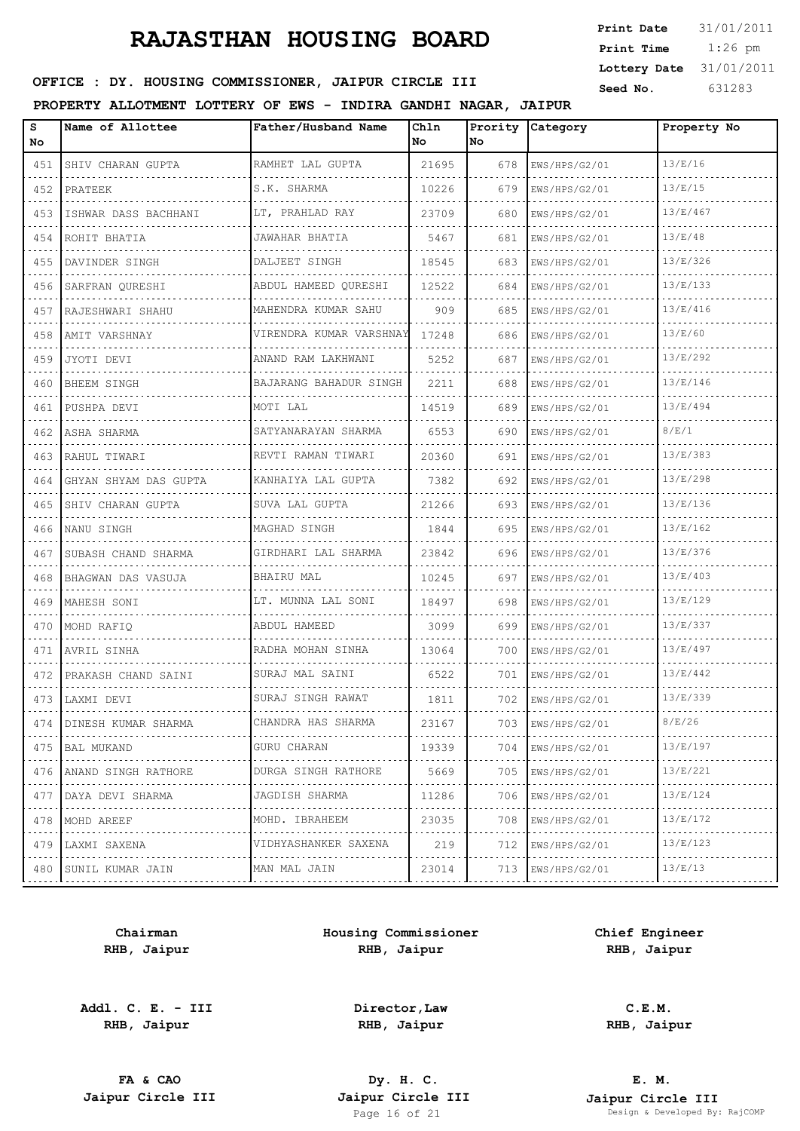| <b>Print Date</b> | 31/01/2011 |
|-------------------|------------|
| Print Time        | $1:26$ pm  |
| Lottery Date      | 31/01/2011 |
| Seed No.          | 631283     |

### OFFICE : DY. HOUSING COMMISSIONER, JAIPUR CIRCLE III

#### **PROPERTY ALLOTMENT LOTTERY OF EWS - INDIRA GANDHI NAGAR, JAIPUR**

| s<br>No | Name of Allottee      | Father/Husband Name     | Ch1n<br>No | Prority<br>No. | Category      | Property No |
|---------|-----------------------|-------------------------|------------|----------------|---------------|-------------|
| 451     | SHIV CHARAN GUPTA     | RAMHET LAL GUPTA        | 21695      | 678            | EWS/HPS/G2/01 | 13/E/16     |
| 452     | PRATEEK               | S.K. SHARMA             | 10226      | 679            | EWS/HPS/G2/01 | 13/E/15     |
| 453     | ISHWAR DASS BACHHANI  | LT, PRAHLAD RAY         | 23709      | 680            | EWS/HPS/G2/01 | 13/E/467    |
| 454     | ROHIT BHATIA          | JAWAHAR BHATIA          | 5467       | 681            | EWS/HPS/G2/01 | 13/E/48     |
| 455     | DAVINDER SINGH        | DALJEET SINGH           | 18545      | 683            | EWS/HPS/G2/01 | 13/E/326    |
| 456     | SARFRAN QURESHI       | ABDUL HAMEED QURESHI    | 12522      | 684            | EWS/HPS/G2/01 | 13/E/133    |
| 457     | RAJESHWARI SHAHU      | MAHENDRA KUMAR SAHU     | 909        | 685            | EWS/HPS/G2/01 | 13/E/416    |
| 458     | AMIT VARSHNAY         | VIRENDRA KUMAR VARSHNAY | 17248      | 686            | EWS/HPS/G2/01 | 13/E/60     |
| 459     | JYOTI DEVI            | ANAND RAM LAKHWANI      | 5252       | 687            | EWS/HPS/G2/01 | 13/E/292    |
| 460     | BHEEM SINGH           | BAJARANG BAHADUR SINGH  | 2211       | 688            | EWS/HPS/G2/01 | 13/E/146    |
| 461     | PUSHPA DEVI           | MOTI LAL                | 14519      | 689            | EWS/HPS/G2/01 | 13/E/494    |
| 462     | ASHA SHARMA           | SATYANARAYAN SHARMA     | 6553       | 690            | EWS/HPS/G2/01 | 8/E/1       |
| 463     | RAHUL TIWARI          | REVTI RAMAN TIWARI      | 20360      | 691            | EWS/HPS/G2/01 | 13/E/383    |
| 464     | GHYAN SHYAM DAS GUPTA | KANHAIYA LAL GUPTA<br>. | 7382       | 692            | EWS/HPS/G2/01 | 13/E/298    |
| 465     | SHIV CHARAN GUPTA     | SUVA LAL GUPTA          | 21266      | 693            | EWS/HPS/G2/01 | 13/E/136    |
| 466     | NANU SINGH            | MAGHAD SINGH<br>.       | 1844       | 695            | EWS/HPS/G2/01 | 13/E/162    |
| 467     | SUBASH CHAND SHARMA   | GIRDHARI LAL SHARMA     | 23842      | 696            | EWS/HPS/G2/01 | 13/E/376    |
| 468     | BHAGWAN DAS VASUJA    | BHAIRU MAL              | 10245      | 697            | EWS/HPS/G2/01 | 13/E/403    |
| 469     | MAHESH SONI           | LT. MUNNA LAL SONI      | 18497      | 698            | EWS/HPS/G2/01 | 13/E/129    |
| 470     | MOHD RAFIQ            | ABDUL HAMEED<br>.       | 3099       | 699            | EWS/HPS/G2/01 | 13/E/337    |
| 471     | AVRIL SINHA           | RADHA MOHAN SINHA       | 13064      | 700            | EWS/HPS/G2/01 | 13/E/497    |
| 472     | PRAKASH CHAND SAINI   | SURAJ MAL SAINI<br>.    | 6522       | 701            | EWS/HPS/G2/01 | 13/E/442    |
| 473     | LAXMI DEVI            | SURAJ SINGH RAWAT       | 1811       | 702            | EWS/HPS/G2/01 | 13/E/339    |
| 474     | DINESH KUMAR SHARMA   | CHANDRA HAS SHARMA      | 23167      | 703            | EWS/HPS/G2/01 | 8/E/26      |
| 475     | BAL MUKAND            | GURU CHARAN<br>.        | 19339      | 704            | EWS/HPS/G2/01 | 13/E/197    |
| 476     | ANAND SINGH RATHORE   | DURGA SINGH RATHORE     | 5669       | 705            | EWS/HPS/G2/01 | 13/E/221    |
| 477     | DAYA DEVI SHARMA      | JAGDISH SHARMA<br>.     | 11286      | 706            | EWS/HPS/G2/01 | 13/E/124    |
| 478     | MOHD AREEF            | MOHD. IBRAHEEM          | 23035      | 708            | EWS/HPS/G2/01 | 13/E/172    |
| 479     | LAXMI SAXENA<br>.     | VIDHYASHANKER SAXENA    | 219        | 712            | EWS/HPS/G2/01 | 13/E/123    |
| 480     | SUNIL KUMAR JAIN      | MAN MAL JAIN            | 23014      | 713            | EWS/HPS/G2/01 | 13/E/13     |

**Chairman RHB, Jaipur**

**Addl. C. E. - III RHB, Jaipur**

**Housing Commissioner RHB, Jaipur**

**Chief Engineer RHB, Jaipur**

**Director,Law RHB, Jaipur**

**C.E.M. RHB, Jaipur**

**FA & CAO Dy. H. C.**

**E. M. Jaipur Circle III Jaipur Circle III Jaipur Circle III Jaipur Circle III Jaipur Circle III Page 16 of 21 Design & Developed By:** Page 16 Developed By: RajCOMP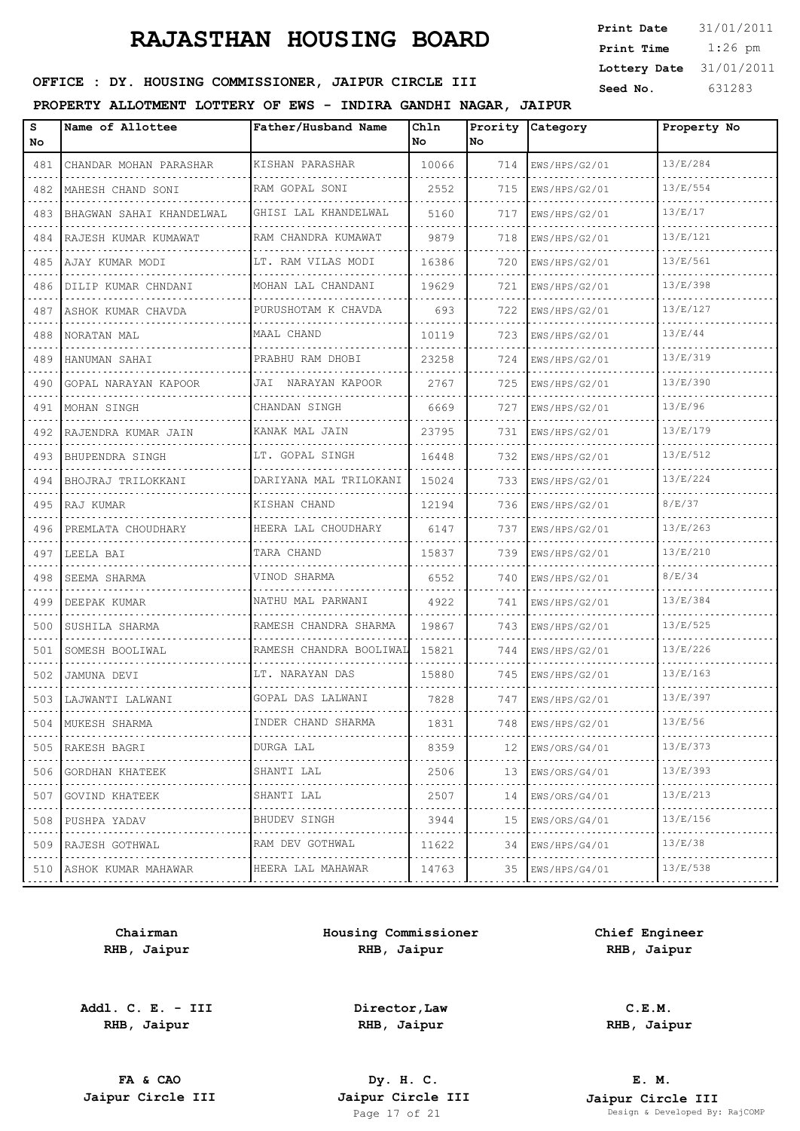| <b>Print Date</b> | 31/01/2011 |
|-------------------|------------|
| Print Time        | $1:26$ pm  |
| Lottery Date      | 31/01/2011 |
| Seed No.          | 631283     |

### OFFICE : DY. HOUSING COMMISSIONER, JAIPUR CIRCLE III

#### **PROPERTY ALLOTMENT LOTTERY OF EWS - INDIRA GANDHI NAGAR, JAIPUR**

| s<br>No | Name of Allottee         | Father/Husband Name             | Chln<br>No. | Prority<br>No. | Category                             | Property No |
|---------|--------------------------|---------------------------------|-------------|----------------|--------------------------------------|-------------|
| 481     | CHANDAR MOHAN PARASHAR   | KISHAN PARASHAR                 | 10066       | 714            | EWS/HPS/G2/01                        | 13/E/284    |
| 482     | MAHESH CHAND SONI        | RAM GOPAL SONI                  | 2552        | 715            | EWS/HPS/G2/01                        | 13/E/554    |
| 483     | BHAGWAN SAHAI KHANDELWAL | GHISI LAL KHANDELWAL            | 5160        | 717            | EWS/HPS/G2/01                        | 13/E/17     |
| 484     | RAJESH KUMAR KUMAWAT     | RAM CHANDRA KUMAWAT             | 9879        | 718            | EWS/HPS/G2/01                        | 13/E/121    |
| 485     | AJAY KUMAR MODI          | LT. RAM VILAS MODI              | 16386       | 720            | EWS/HPS/G2/01                        | 13/E/561    |
| 486     | DILIP KUMAR CHNDANI      | MOHAN LAL CHANDANI              | 19629       | 721            | EWS/HPS/G2/01                        | 13/E/398    |
| 487     | ASHOK KUMAR CHAVDA       | PURUSHOTAM K CHAVDA             | 693         | 722            | EWS/HPS/G2/01                        | 13/E/127    |
| 488     | NORATAN MAL              | MAAL CHAND                      | 10119       | 723            | EWS/HPS/G2/01                        | 13/E/44     |
| 489     | HANUMAN SAHAI            | PRABHU RAM DHOBI                | 23258       | 724            | EWS/HPS/G2/01                        | 13/E/319    |
| 490     | GOPAL NARAYAN KAPOOR     | JAI NARAYAN KAPOOR              | 2767        | 725            | EWS/HPS/G2/01                        | 13/E/390    |
| 491     | MOHAN SINGH              | CHANDAN SINGH                   | 6669        | 727            | EWS/HPS/G2/01                        | 13/E/96     |
| 492     | RAJENDRA KUMAR JAIN      | KANAK MAL JAIN                  | 23795       | 731            | EWS/HPS/G2/01                        | 13/E/179    |
| 493     | BHUPENDRA SINGH          | LT. GOPAL SINGH                 | 16448       | 732            | EWS/HPS/G2/01                        | 13/E/512    |
| 494     | BHOJRAJ TRILOKKANI       | DARIYANA MAL TRILOKANI          | 15024       | 733            | EWS/HPS/G2/01                        | 13/E/224    |
| 495     | RAJ KUMAR                | KISHAN CHAND                    | 12194       | 736            | EWS/HPS/G2/01                        | 8/E/37      |
| 496     | PREMLATA CHOUDHARY       | HEERA LAL CHOUDHARY             | 6147        | 737            | EWS/HPS/G2/01                        | 13/E/263    |
| 497     | LEELA BAI                | TARA CHAND                      | 15837       | 739            | EWS/HPS/G2/01                        | 13/E/210    |
| 498     | SEEMA SHARMA             | VINOD SHARMA                    | 6552        | 740            | EWS/HPS/G2/01                        | 8/E/34      |
| 499     | DEEPAK KUMAR             | NATHU MAL PARWANI               | 4922        | 741            | EWS/HPS/G2/01                        | 13/E/384    |
| 500     | SUSHILA SHARMA           | RAMESH CHANDRA SHARMA<br>.      | 19867       | 743            | EWS/HPS/G2/01                        | 13/E/525    |
| 501     | SOMESH BOOLIWAL          | RAMESH CHANDRA BOOLIWAL         | 15821       | 744            | EWS/HPS/G2/01                        | 13/E/226    |
| 502     | JAMUNA DEVI              | LT. NARAYAN DAS                 | 15880       | 745            | EWS/HPS/G2/01<br>.                   | 13/E/163    |
| 503     | LAJWANTI LALWANI         | GOPAL DAS LALWANI               | 7828        | 747            | EWS/HPS/G2/01                        | 13/E/397    |
|         | 504 MUKESH SHARMA        | INDER CHAND SHARMA              | 1831        | 748            | EWS/HPS/G2/01                        | 13/E/56     |
| 505     | RAKESH BAGRI<br>.        | DURGA LAL                       | 8359        | 12             | EWS/ORS/G4/01                        | 13/E/373    |
| 506     | GORDHAN KHATEEK          | SHANTI LAL                      | 2506        | 13             | EWS/ORS/G4/01                        | 13/E/393    |
| 507     | GOVIND KHATEEK<br>.      | SHANTI LAL<br>.                 | 2507        | 14             | EWS/ORS/G4/01<br>dia dia dia dia dia | 13/E/213    |
| 508     | PUSHPA YADAV             | BHUDEV SINGH                    | 3944        | 15             | EWS/ORS/G4/01                        | 13/E/156    |
| 509     | RAJESH GOTHWAL<br>.      | RAM DEV GOTHWAL<br>. <b>.</b> . | 11622       | 34             | EWS/HPS/G4/01                        | 13/E/38     |
|         | 510 ASHOK KUMAR MAHAWAR  | HEERA LAL MAHAWAR               | 14763       | 35             | EWS/HPS/G4/01                        | 13/E/538    |
|         |                          |                                 |             |                |                                      |             |

**Chairman RHB, Jaipur**

**Addl. C. E. - III RHB, Jaipur**

**Housing Commissioner RHB, Jaipur**

**Chief Engineer RHB, Jaipur**

**Director,Law RHB, Jaipur**

**C.E.M. RHB, Jaipur**

**FA & CAO Dy. H. C.**

**E. M. Jaipur Circle III Jaipur Circle III Jaipur Circle III Jaipur Circle III Jaipur Circle III Page 17 of 21 Design & Developed By:** Pesign & Developed By: RajCOMP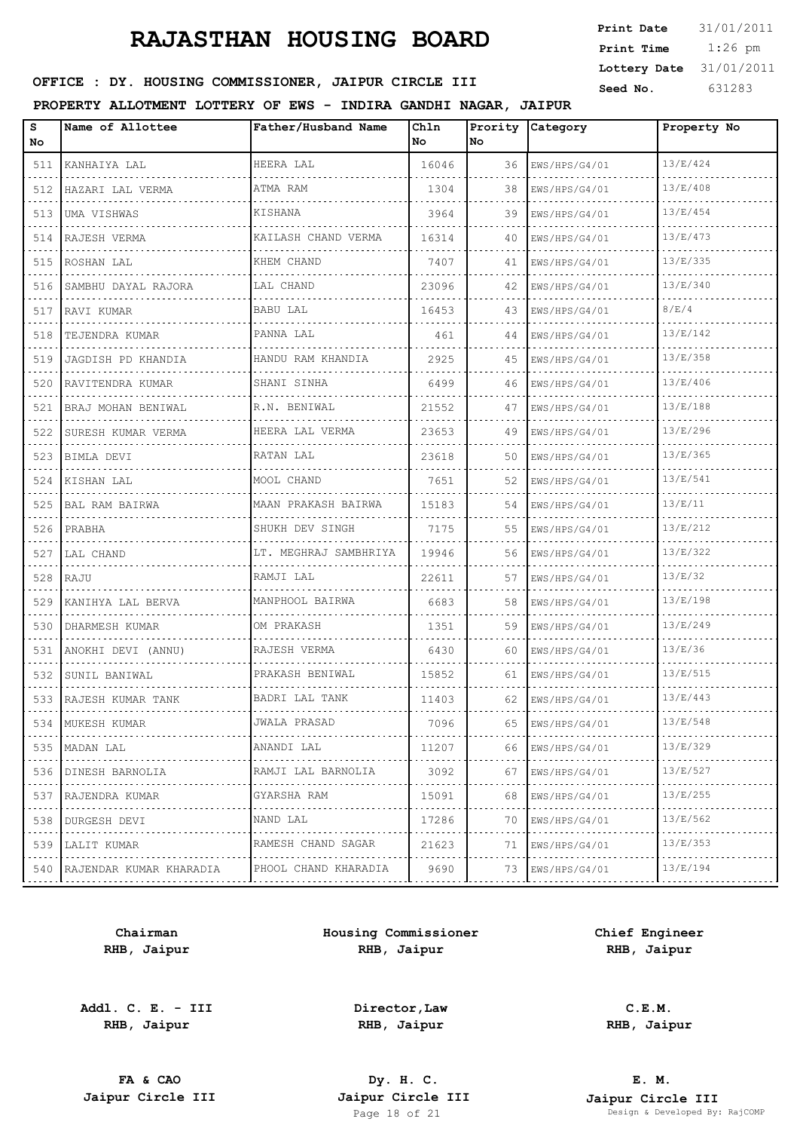| <b>Print Date</b> | 31/01/2011 |
|-------------------|------------|
| Print Time        | $1:26$ pm  |
| Lottery Date      | 31/01/2011 |
| Seed No.          | 631283     |

## OFFICE : DY. HOUSING COMMISSIONER, JAIPUR CIRCLE III

#### **PROPERTY ALLOTMENT LOTTERY OF EWS - INDIRA GANDHI NAGAR, JAIPUR**

| s<br>No | Name of Allottee        | Father/Husband Name     | Ch1n<br>No | Prority<br>No. | <b>Category</b>    | Property No |
|---------|-------------------------|-------------------------|------------|----------------|--------------------|-------------|
| 511     | KANHAIYA LAL            | HEERA LAL               | 16046      | 36             | EWS/HPS/G4/01      | 13/E/424    |
| 512     | HAZARI LAL VERMA        | ATMA RAM                | 1304       | 38             | EWS/HPS/G4/01      | 13/E/408    |
| 513     | UMA VISHWAS             | KISHANA                 | 3964       | 39             | EWS/HPS/G4/01      | 13/E/454    |
| 514     | RAJESH VERMA            | KAILASH CHAND VERMA     | 16314      | 40             | EWS/HPS/G4/01      | 13/E/473    |
| 515     | ROSHAN LAL              | KHEM CHAND              | 7407       | 41             | EWS/HPS/G4/01      | 13/E/335    |
| 516     | SAMBHU DAYAL RAJORA     | LAL CHAND               | 23096      | 42             | EWS/HPS/G4/01      | 13/E/340    |
| 517     | RAVI KUMAR              | <b>BABU LAL</b>         | 16453      | 43             | EWS/HPS/G4/01      | 8/E/4       |
| 518     | TEJENDRA KUMAR<br>.     | PANNA LAL               | 461        | 44             | EWS/HPS/G4/01      | 13/E/142    |
| 519     | JAGDISH PD KHANDIA      | HANDU RAM KHANDIA       | 2925       | 45             | EWS/HPS/G4/01      | 13/E/358    |
| 520     | RAVITENDRA KUMAR        | SHANI SINHA             | 6499       | 46             | EWS/HPS/G4/01      | 13/E/406    |
| 521     | BRAJ MOHAN BENIWAL      | R.N. BENIWAL            | 21552      | 47             | EWS/HPS/G4/01      | 13/E/188    |
| 522     | SURESH KUMAR VERMA      | HEERA LAL VERMA         | 23653      | 49             | EWS/HPS/G4/01      | 13/E/296    |
| 523     | BIMLA DEVI              | RATAN LAL               | 23618      | 50             | EWS/HPS/G4/01      | 13/E/365    |
| 524     | KISHAN LAL<br>.         | MOOL CHAND              | 7651       | 52             | EWS/HPS/G4/01      | 13/E/541    |
| 525     | BAL RAM BAIRWA          | MAAN PRAKASH BAIRWA     | 15183      | 54             | EWS/HPS/G4/01      | 13/E/11     |
| 526     | PRABHA                  | SHUKH DEV SINGH         | 7175       | 55             | EWS/HPS/G4/01      | 13/E/212    |
| 527     | LAL CHAND               | LT. MEGHRAJ SAMBHRIYA   | 19946      | 56             | EWS/HPS/G4/01      | 13/E/322    |
| 528     | RAJU                    | RAMJI LAL               | 22611      | 57             | EWS/HPS/G4/01      | 13/E/32     |
| 529     | KANIHYA LAL BERVA       | MANPHOOL BAIRWA         | 6683       | 58             | EWS/HPS/G4/01      | 13/E/198    |
| 530     | DHARMESH KUMAR          | OM PRAKASH              | 1351       | 59             | EWS/HPS/G4/01      | 13/E/249    |
| 531     | ANOKHI DEVI (ANNU)      | RAJESH VERMA            | 6430       | 60             | EWS/HPS/G4/01      | 13/E/36     |
| 532     | SUNIL BANIWAL           | PRAKASH BENIWAL         | 15852      | 61             | EWS/HPS/G4/01      | 13/E/515    |
|         | 533   RAJESH KUMAR TANK | BADRI LAL TANK          | 11403      | 62             | EWS/HPS/G4/01      | 13/E/443    |
| 534     | MUKESH KUMAR            | JWALA PRASAD            | 7096       | 65             | EWS/HPS/G4/01      | 13/E/548    |
| 535     | MADAN LAL<br>.          | ANANDI LAL<br>.         | 11207      | 66             | EWS/HPS/G4/01<br>. | 13/E/329    |
| 536     | DINESH BARNOLIA         | RAMJI LAL BARNOLIA<br>. | 3092       | 67             | EWS/HPS/G4/01      | 13/E/527    |
| 537     | RAJENDRA KUMAR<br>.     | GYARSHA RAM<br>.        | 15091      | 68             | EWS/HPS/G4/01<br>. | 13/E/255    |
| 538     | DURGESH DEVI            | NAND LAL                | 17286      | 70             | EWS/HPS/G4/01      | 13/E/562    |
| 539     | LALIT KUMAR<br>.        | RAMESH CHAND SAGAR<br>. | 21623      | 71             | EWS/HPS/G4/01<br>. | 13/E/353    |
| 540     | RAJENDAR KUMAR KHARADIA | PHOOL CHAND KHARADIA    | 9690       | 73             | EWS/HPS/G4/01      | 13/E/194    |

**Chairman RHB, Jaipur**

**Addl. C. E. - III RHB, Jaipur**

**Housing Commissioner RHB, Jaipur**

**Chief Engineer RHB, Jaipur**

**Director,Law RHB, Jaipur**

**C.E.M. RHB, Jaipur**

**FA & CAO Dy. H. C.**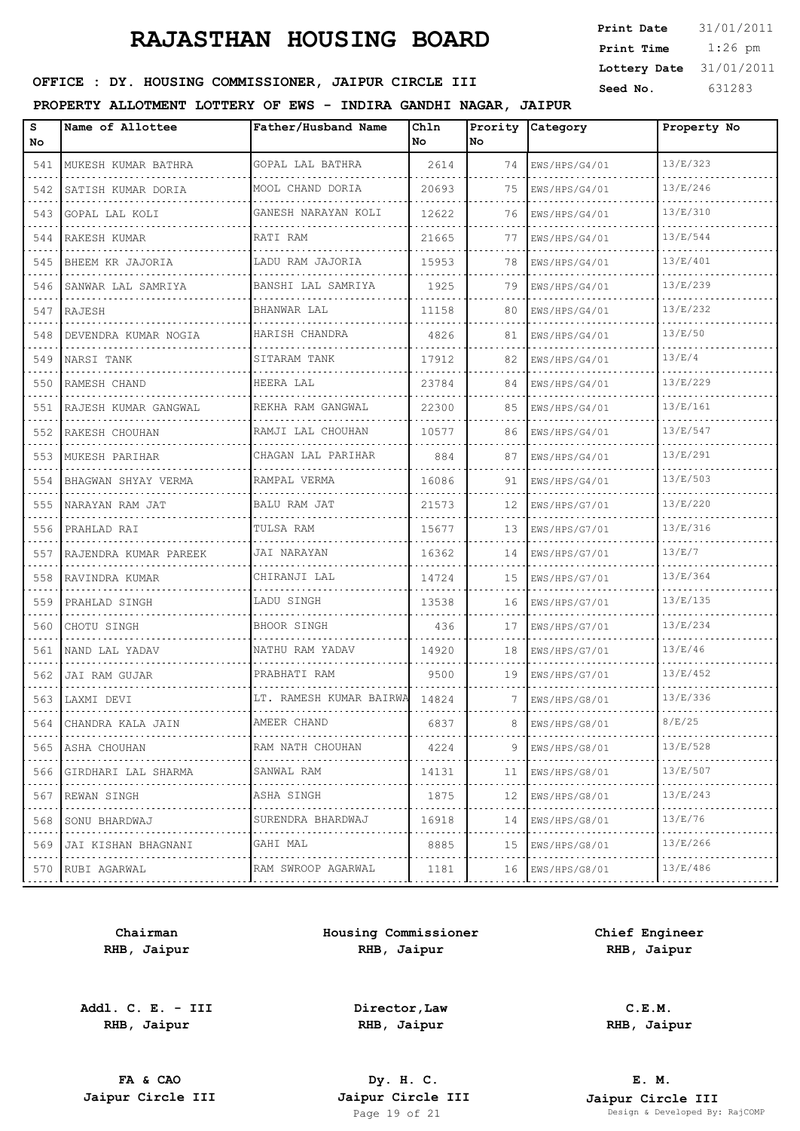1:26 pm **Print Date**  $31/01/2011$ **Print Time Lottery Date** 31/01/2011

## **SEED OFFICE : DY. HOUSING COMMISSIONER, JAIPUR CIRCLE III** Seed No. 631283

#### **PROPERTY ALLOTMENT LOTTERY OF EWS - INDIRA GANDHI NAGAR, JAIPUR**

| s<br>No. | Name of Allottee           | Father/Husband Name     | Chln<br>No | No | Prority Category   | Property No |
|----------|----------------------------|-------------------------|------------|----|--------------------|-------------|
| 541      | MUKESH KUMAR BATHRA        | GOPAL LAL BATHRA        | 2614       |    | 74   EWS/HPS/G4/01 | 13/E/323    |
| 542      | SATISH KUMAR DORIA         | MOOL CHAND DORIA        | 20693      | 75 | EWS/HPS/G4/01      | 13/E/246    |
| 543      | GOPAL LAL KOLI             | GANESH NARAYAN KOLI     | 12622      | 76 | EWS/HPS/G4/01      | 13/E/310    |
|          | 544 RAKESH KUMAR           | RATI RAM                | 21665      | 77 | EWS/HPS/G4/01      | 13/E/544    |
|          | 545 BHEEM KR JAJORIA       | LADU RAM JAJORIA        | 15953      | 78 | EWS/HPS/G4/01      | 13/E/401    |
|          | 546 SANWAR LAL SAMRIYA     | BANSHI LAL SAMRIYA      | 1925       | 79 | EWS/HPS/G4/01      | 13/E/239    |
|          | 547 RAJESH                 | BHANWAR LAL             | 11158      | 80 | EWS/HPS/G4/01      | 13/E/232    |
| 548      | DEVENDRA KUMAR NOGIA       | HARISH CHANDRA          | 4826       | 81 | EWS/HPS/G4/01      | 13/E/50     |
|          | 549 INARSI TANK            | SITARAM TANK            | 17912      | 82 | EWS/HPS/G4/01      | 13/E/4      |
|          | 550 RAMESH CHAND           | HEERA LAL               | 23784      | 84 | EWS/HPS/G4/01      | 13/E/229    |
|          | 551   RAJESH KUMAR GANGWAL | REKHA RAM GANGWAL       | 22300      | 85 | EWS/HPS/G4/01      | 13/E/161    |
|          | 552 RAKESH CHOUHAN         | RAMJI LAL CHOUHAN       | 10577      | 86 | EWS/HPS/G4/01      | 13/E/547    |
| 553      | MUKESH PARIHAR             | CHAGAN LAL PARIHAR      | 884        | 87 | EWS/HPS/G4/01      | 13/E/291    |
| 554      | BHAGWAN SHYAY VERMA        | RAMPAL VERMA            | 16086      | 91 | EWS/HPS/G4/01      | 13/E/503    |
| 555      | NARAYAN RAM JAT            | <b>BALU RAM JAT</b>     | 21573      | 12 | EWS/HPS/G7/01      | 13/E/220    |
| 556      | PRAHLAD RAI                | TULSA RAM               | 15677      | 13 | EWS/HPS/G7/01      | 13/E/316    |
| 557      | RAJENDRA KUMAR PAREEK      | JAI NARAYAN             | 16362      | 14 | EWS/HPS/G7/01      | 13/E/7      |
| 558      | RAVINDRA KUMAR             | CHIRANJI LAL            | 14724      | 15 | EWS/HPS/G7/01      | 13/E/364    |
| 559      | PRAHLAD SINGH              | LADU SINGH              | 13538      | 16 | EWS/HPS/G7/01      | 13/E/135    |
| 560      | CHOTU SINGH                | <b>BHOOR SINGH</b>      | 436        | 17 | EWS/HPS/G7/01      | 13/E/234    |
| 561      | NAND LAL YADAV             | NATHU RAM YADAV         | 14920      | 18 | EWS/HPS/G7/01      | 13/E/46     |
| 562      | JAI RAM GUJAR              | PRABHATI RAM            | 9500       | 19 | EWS/HPS/G7/01      | 13/E/452    |
|          | 563   LAXMI DEVI           | LT. RAMESH KUMAR BAIRWA | 14824      | 7  | EWS/HPS/G8/01      | 13/E/336    |
| 564      | CHANDRA KALA JAIN          | AMEER CHAND             | 6837       | 8  | EWS/HPS/G8/01      | 8/E/25      |
| 565      | ASHA CHOUHAN               | RAM NATH CHOUHAN        | 4224       | 9  | EWS/HPS/G8/01      | 13/E/528    |
| 566      | GIRDHARI LAL SHARMA        | .<br>SANWAL RAM         | 14131      | 11 | EWS/HPS/G8/01      | 13/E/507    |
| 567      | REWAN SINGH                | ASHA SINGH              | 1875       | 12 | EWS/HPS/G8/01      | 13/E/243    |
| 568      | SONU BHARDWAJ              | SURENDRA BHARDWAJ       | 16918      | 14 | EWS/HPS/G8/01      | 13/E/76     |
| 569      | JAI KISHAN BHAGNANI        | GAHI MAL                | 8885       | 15 | EWS/HPS/G8/01      | 13/E/266    |
| 570      | .<br>RUBI AGARWAL          | RAM SWROOP AGARWAL      | 1181       | 16 | EWS/HPS/G8/01      | 13/E/486    |
|          |                            |                         |            |    |                    |             |

**Chairman RHB, Jaipur**

**Addl. C. E. - III RHB, Jaipur**

**Housing Commissioner RHB, Jaipur**

**Chief Engineer RHB, Jaipur**

**Director,Law RHB, Jaipur**

**C.E.M. RHB, Jaipur**

**FA & CAO Dy. H. C.**

**E. M. Jaipur Circle III Jaipur Circle III Jaipur Circle III Jaipur Circle III Jaipur Circle III Page 19 of 21 Design & Developed By:** Pesign & Developed By: RajCOMP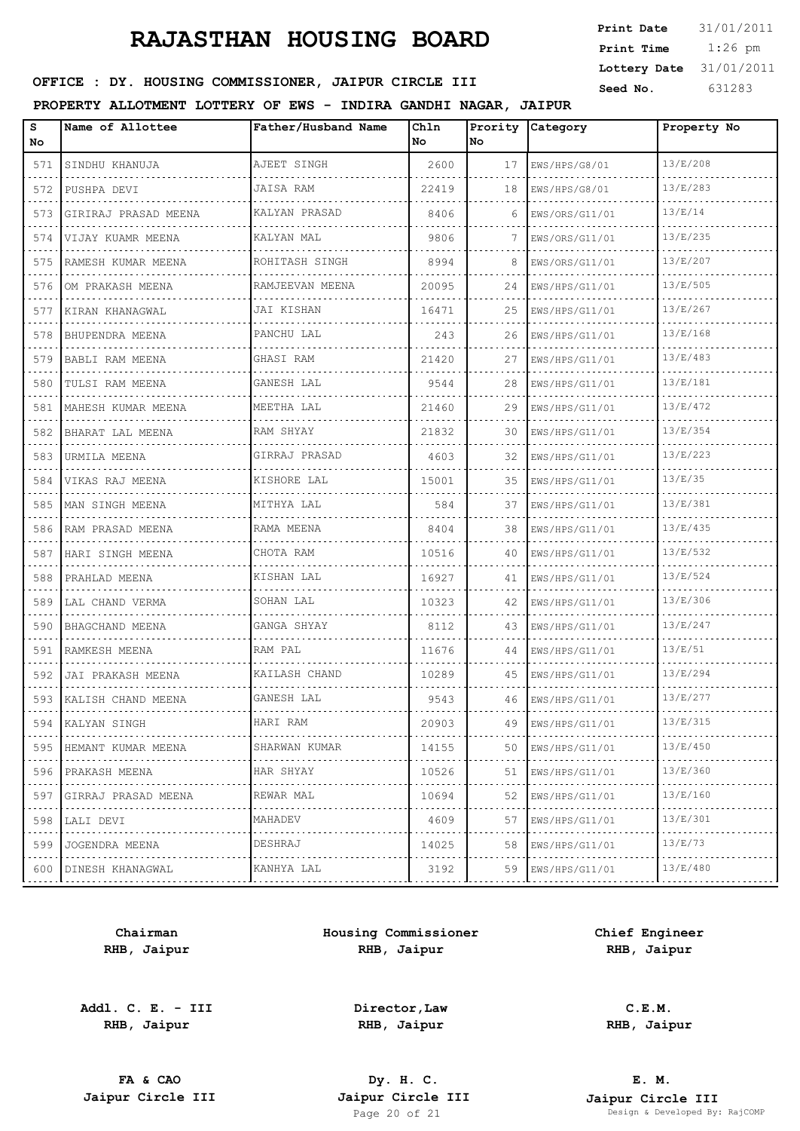| <b>Print Date</b> | 31/01/2011 |
|-------------------|------------|
| Print Time        | $1:26$ pm  |
| Lottery Date      | 31/01/2011 |
| Seed No.          | 631283     |

## OFFICE : DY. HOUSING COMMISSIONER, JAIPUR CIRCLE III

#### **PROPERTY ALLOTMENT LOTTERY OF EWS - INDIRA GANDHI NAGAR, JAIPUR**

| s<br>No | Name of Allottee           | Father/Husband Name | Ch1n<br>No | Prority<br>No. | <b>Category</b>     | Property No |
|---------|----------------------------|---------------------|------------|----------------|---------------------|-------------|
| 571     | SINDHU KHANUJA             | AJEET SINGH         | 2600       | 17             | EWS/HPS/G8/01       | 13/E/208    |
| 572     | PUSHPA DEVI                | <b>JAISA RAM</b>    | 22419      | 18             | EWS/HPS/G8/01       | 13/E/283    |
| 573     | GIRIRAJ PRASAD MEENA       | KALYAN PRASAD       | 8406       | 6              | EWS/ORS/G11/01      | 13/E/14     |
| 574     | VIJAY KUAMR MEENA          | KALYAN MAL          | 9806       | 7              | EWS/ORS/G11/01      | 13/E/235    |
| 575     | RAMESH KUMAR MEENA         | ROHITASH SINGH      | 8994       | 8              | EWS/ORS/G11/01      | 13/E/207    |
| 576     | OM PRAKASH MEENA           | RAMJEEVAN MEENA     | 20095      | 24             | EWS/HPS/G11/01      | 13/E/505    |
| 577     | KIRAN KHANAGWAL            | JAI KISHAN          | 16471      | 25             | EWS/HPS/G11/01      | 13/E/267    |
| 578     | BHUPENDRA MEENA            | PANCHU LAL          | 243        | 26             | EWS/HPS/G11/01      | 13/E/168    |
| 579     | BABLI RAM MEENA            | GHASI RAM           | 21420      | 27             | EWS/HPS/G11/01      | 13/E/483    |
| 580     | TULSI RAM MEENA            | GANESH LAL          | 9544       | 28             | EWS/HPS/G11/01      | 13/E/181    |
| 581     | MAHESH KUMAR MEENA         | MEETHA LAL          | 21460      | 29             | EWS/HPS/G11/01      | 13/E/472    |
| 582     | BHARAT LAL MEENA           | RAM SHYAY           | 21832      | 30             | EWS/HPS/G11/01      | 13/E/354    |
| 583     | URMILA MEENA               | GIRRAJ PRASAD       | 4603       | 32             | EWS/HPS/G11/01      | 13/E/223    |
| 584     | VIKAS RAJ MEENA            | KISHORE LAL         | 15001      | 35             | EWS/HPS/G11/01      | 13/E/35     |
| 585     | MAN SINGH MEENA            | MITHYA LAL          | 584        | 37             | EWS/HPS/G11/01      | 13/E/381    |
| 586     | RAM PRASAD MEENA           | RAMA MEENA          | 8404       | 38             | EWS/HPS/G11/01      | 13/E/435    |
| 587     | HARI SINGH MEENA           | CHOTA RAM           | 10516      | 40             | EWS/HPS/G11/01      | 13/E/532    |
| 588     | PRAHLAD MEENA              | KISHAN LAL          | 16927      | 41             | EWS/HPS/G11/01      | 13/E/524    |
| 589     | LAL CHAND VERMA            | SOHAN LAL           | 10323      | 42             | EWS/HPS/G11/01      | 13/E/306    |
| 590     | BHAGCHAND MEENA<br>.       | GANGA SHYAY         | 8112       | 43             | EWS/HPS/G11/01      | 13/E/247    |
| 591     | RAMKESH MEENA              | RAM PAL             | 11676      | 44             | EWS/HPS/G11/01      | 13/E/51     |
| 592     | JAI PRAKASH MEENA          | KAILASH CHAND       | 10289      | 45             | EWS/HPS/G11/01<br>. | 13/E/294    |
|         | 593 KALISH CHAND MEENA     | GANESH LAL          | 9543       | 46             | EWS/HPS/G11/01      | 13/E/277    |
| 594     | KALYAN SINGH               | HARI RAM            | 20903      | 49             | EWS/HPS/G11/01      | 13/E/315    |
| 595     | HEMANT KUMAR MEENA         | SHARWAN KUMAR<br>.  | 14155      | 50             | EWS/HPS/G11/01      | 13/E/450    |
| 596     | PRAKASH MEENA              | HAR SHYAY           | 10526      | 51             | EWS/HPS/G11/01      | 13/E/360    |
| 597     | GIRRAJ PRASAD MEENA        | REWAR MAL<br>.      | 10694      | 52             | EWS/HPS/G11/01<br>. | 13/E/160    |
| 598     | LALI DEVI                  | MAHADEV             | 4609       | 57             | EWS/HPS/G11/01      | 13/E/301    |
| 599     | JOGENDRA MEENA<br><u>.</u> | DESHRAJ             | 14025      | 58             | EWS/HPS/G11/01      | 13/E/73     |
| 600     | DINESH KHANAGWAL           | KANHYA LAL          | 3192       | 59             | EWS/HPS/G11/01      | 13/E/480    |

**Chairman RHB, Jaipur**

**Addl. C. E. - III RHB, Jaipur**

**Housing Commissioner RHB, Jaipur**

**Chief Engineer RHB, Jaipur**

**Director,Law RHB, Jaipur**

**C.E.M. RHB, Jaipur**

**FA & CAO Dy. H. C.**

**E. M. Jaipur Circle III Jaipur Circle III Jaipur Circle III Jaipur Circle III Jaipur Circle III Page 20 of 21 Design & Developed By:** Page 20 of 21 Design & Developed By: RajCOMP